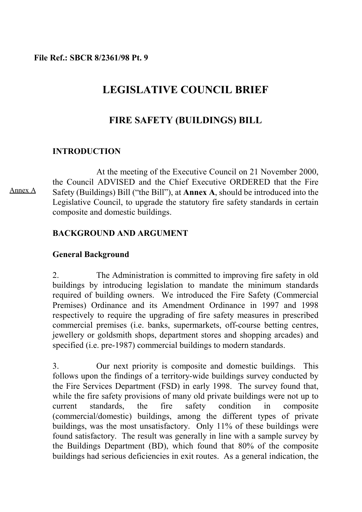### **File Ref.: SBCR 8/2361/98 Pt. 9**

# **LEGISLATIVE COUNCIL BRIEF**

# **FIRE SAFETY (BUILDINGS) BILL**

### **INTRODUCTION**

At the meeting of the Executive Council on 21 November 2000, the Council ADVISED and the Chief Executive ORDERED that the Fire Safety (Buildings) Bill ("the Bill"), at **Annex A**, should be introduced into the Legislative Council, to upgrade the statutory fire safety standards in certain composite and domestic buildings.

### **BACKGROUND AND ARGUMENT**

### **General Background**

2. The Administration is committed to improving fire safety in old buildings by introducing legislation to mandate the minimum standards required of building owners. We introduced the Fire Safety (Commercial Premises) Ordinance and its Amendment Ordinance in 1997 and 1998 respectively to require the upgrading of fire safety measures in prescribed commercial premises (i.e. banks, supermarkets, off-course betting centres, jewellery or goldsmith shops, department stores and shopping arcades) and specified (i.e. pre-1987) commercial buildings to modern standards.

3. Our next priority is composite and domestic buildings. This follows upon the findings of a territory-wide buildings survey conducted by the Fire Services Department (FSD) in early 1998. The survey found that, while the fire safety provisions of many old private buildings were not up to current standards, the fire safety condition in composite (commercial/domestic) buildings, among the different types of private buildings, was the most unsatisfactory. Only 11% of these buildings were found satisfactory. The result was generally in line with a sample survey by the Buildings Department (BD), which found that 80% of the composite buildings had serious deficiencies in exit routes. As a general indication, the

Annex A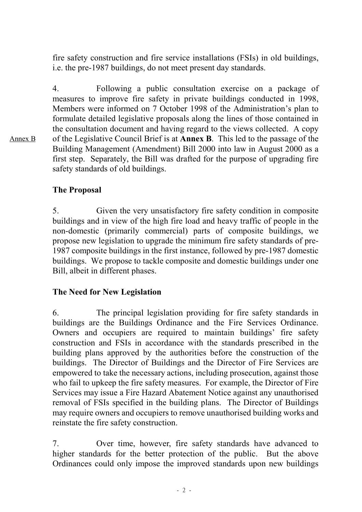fire safety construction and fire service installations (FSIs) in old buildings, i.e. the pre-1987 buildings, do not meet present day standards.

4. Following a public consultation exercise on a package of measures to improve fire safety in private buildings conducted in 1998, Members were informed on 7 October 1998 of the Administration's plan to formulate detailed legislative proposals along the lines of those contained in the consultation document and having regard to the views collected. A copy of the Legislative Council Brief is at **Annex B**. This led to the passage of the Building Management (Amendment) Bill 2000 into law in August 2000 as a first step. Separately, the Bill was drafted for the purpose of upgrading fire safety standards of old buildings.

# **The Proposal**

5. Given the very unsatisfactory fire safety condition in composite buildings and in view of the high fire load and heavy traffic of people in the non-domestic (primarily commercial) parts of composite buildings, we propose new legislation to upgrade the minimum fire safety standards of pre-1987 composite buildings in the first instance, followed by pre-1987 domestic buildings. We propose to tackle composite and domestic buildings under one Bill, albeit in different phases.

### **The Need for New Legislation**

6. The principal legislation providing for fire safety standards in buildings are the Buildings Ordinance and the Fire Services Ordinance. Owners and occupiers are required to maintain buildings' fire safety construction and FSIs in accordance with the standards prescribed in the building plans approved by the authorities before the construction of the buildings. The Director of Buildings and the Director of Fire Services are empowered to take the necessary actions, including prosecution, against those who fail to upkeep the fire safety measures. For example, the Director of Fire Services may issue a Fire Hazard Abatement Notice against any unauthorised removal of FSIs specified in the building plans. The Director of Buildings may require owners and occupiers to remove unauthorised building works and reinstate the fire safety construction.

7. Over time, however, fire safety standards have advanced to higher standards for the better protection of the public. But the above Ordinances could only impose the improved standards upon new buildings

Annex B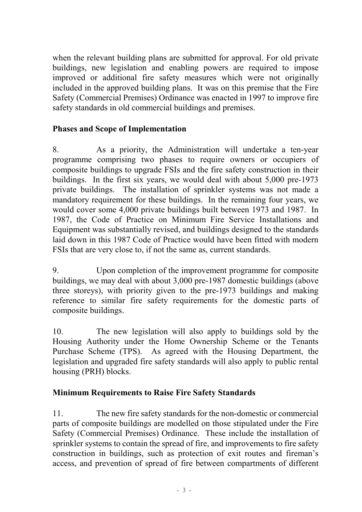when the relevant building plans are submitted for approval. For old private buildings, new legislation and enabling powers are required to impose improved or additional fire safety measures which were not originally included in the approved building plans. It was on this premise that the Fire Safety (Commercial Premises) Ordinance was enacted in 1997 to improve fire safety standards in old commercial buildings and premises.

# **Phases and Scope of Implementation**

8. As a priority, the Administration will undertake a ten-year programme comprising two phases to require owners or occupiers of composite buildings to upgrade FSIs and the fire safety construction in their buildings. In the first six years, we would deal with about 5,000 pre-1973 private buildings. The installation of sprinkler systems was not made a mandatory requirement for these buildings. In the remaining four years, we would cover some 4,000 private buildings built between 1973 and 1987. In 1987, the Code of Practice on Minimum Fire Service Installations and Equipment was substantially revised, and buildings designed to the standards laid down in this 1987 Code of Practice would have been fitted with modern FSIs that are very close to, if not the same as, current standards.

9. Upon completion of the improvement programme for composite buildings, we may deal with about 3,000 pre-1987 domestic buildings (above three storeys), with priority given to the pre-1973 buildings and making reference to similar fire safety requirements for the domestic parts of composite buildings.

10. The new legislation will also apply to buildings sold by the Housing Authority under the Home Ownership Scheme or the Tenants Purchase Scheme (TPS). As agreed with the Housing Department, the legislation and upgraded fire safety standards will also apply to public rental housing (PRH) blocks.

# **Minimum Requirements to Raise Fire Safety Standards**

11. The new fire safety standards for the non-domestic or commercial parts of composite buildings are modelled on those stipulated under the Fire Safety (Commercial Premises) Ordinance. These include the installation of sprinkler systems to contain the spread of fire, and improvements to fire safety construction in buildings, such as protection of exit routes and fireman's access, and prevention of spread of fire between compartments of different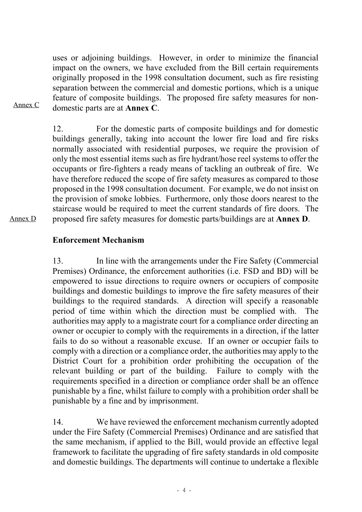uses or adjoining buildings. However, in order to minimize the financial impact on the owners, we have excluded from the Bill certain requirements originally proposed in the 1998 consultation document, such as fire resisting separation between the commercial and domestic portions, which is a unique feature of composite buildings. The proposed fire safety measures for nondomestic parts are at **Annex C**.

Annex C

12. For the domestic parts of composite buildings and for domestic buildings generally, taking into account the lower fire load and fire risks normally associated with residential purposes, we require the provision of only the most essential items such as fire hydrant/hose reel systems to offer the occupants or fire-fighters a ready means of tackling an outbreak of fire. We have therefore reduced the scope of fire safety measures as compared to those proposed in the 1998 consultation document. For example, we do not insist on the provision of smoke lobbies. Furthermore, only those doors nearest to the staircase would be required to meet the current standards of fire doors. The proposed fire safety measures for domestic parts/buildings are at **Annex D**.

Annex D

# **Enforcement Mechanism**

13. In line with the arrangements under the Fire Safety (Commercial Premises) Ordinance, the enforcement authorities (i.e. FSD and BD) will be empowered to issue directions to require owners or occupiers of composite buildings and domestic buildings to improve the fire safety measures of their buildings to the required standards. A direction will specify a reasonable period of time within which the direction must be complied with. The authorities may apply to a magistrate court for a compliance order directing an owner or occupier to comply with the requirements in a direction, if the latter fails to do so without a reasonable excuse. If an owner or occupier fails to comply with a direction or a compliance order, the authorities may apply to the District Court for a prohibition order prohibiting the occupation of the relevant building or part of the building. Failure to comply with the requirements specified in a direction or compliance order shall be an offence punishable by a fine, whilst failure to comply with a prohibition order shall be punishable by a fine and by imprisonment.

14. We have reviewed the enforcement mechanism currently adopted under the Fire Safety (Commercial Premises) Ordinance and are satisfied that the same mechanism, if applied to the Bill, would provide an effective legal framework to facilitate the upgrading of fire safety standards in old composite and domestic buildings. The departments will continue to undertake a flexible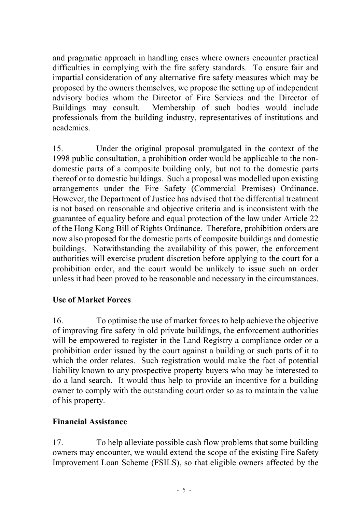and pragmatic approach in handling cases where owners encounter practical difficulties in complying with the fire safety standards. To ensure fair and impartial consideration of any alternative fire safety measures which may be proposed by the owners themselves, we propose the setting up of independent advisory bodies whom the Director of Fire Services and the Director of Buildings may consult. Membership of such bodies would include professionals from the building industry, representatives of institutions and academics.

15. Under the original proposal promulgated in the context of the 1998 public consultation, a prohibition order would be applicable to the nondomestic parts of a composite building only, but not to the domestic parts thereof or to domestic buildings. Such a proposal was modelled upon existing arrangements under the Fire Safety (Commercial Premises) Ordinance. However, the Department of Justice has advised that the differential treatment is not based on reasonable and objective criteria and is inconsistent with the guarantee of equality before and equal protection of the law under Article 22 of the Hong Kong Bill of Rights Ordinance. Therefore, prohibition orders are now also proposed for the domestic parts of composite buildings and domestic buildings. Notwithstanding the availability of this power, the enforcement authorities will exercise prudent discretion before applying to the court for a prohibition order, and the court would be unlikely to issue such an order unless it had been proved to be reasonable and necessary in the circumstances.

# **Use of Market Forces**

16. To optimise the use of market forces to help achieve the objective of improving fire safety in old private buildings, the enforcement authorities will be empowered to register in the Land Registry a compliance order or a prohibition order issued by the court against a building or such parts of it to which the order relates. Such registration would make the fact of potential liability known to any prospective property buyers who may be interested to do a land search. It would thus help to provide an incentive for a building owner to comply with the outstanding court order so as to maintain the value of his property.

# **Financial Assistance**

17. To help alleviate possible cash flow problems that some building owners may encounter, we would extend the scope of the existing Fire Safety Improvement Loan Scheme (FSILS), so that eligible owners affected by the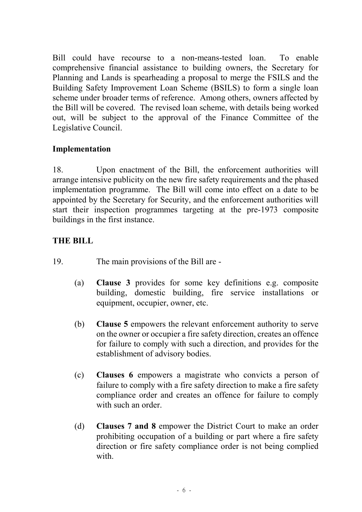Bill could have recourse to a non-means-tested loan. To enable comprehensive financial assistance to building owners, the Secretary for Planning and Lands is spearheading a proposal to merge the FSILS and the Building Safety Improvement Loan Scheme (BSILS) to form a single loan scheme under broader terms of reference. Among others, owners affected by the Bill will be covered. The revised loan scheme, with details being worked out, will be subject to the approval of the Finance Committee of the Legislative Council.

# **Implementation**

18. Upon enactment of the Bill, the enforcement authorities will arrange intensive publicity on the new fire safety requirements and the phased implementation programme. The Bill will come into effect on a date to be appointed by the Secretary for Security, and the enforcement authorities will start their inspection programmes targeting at the pre-1973 composite buildings in the first instance.

# **THE BILL**

- 19. The main provisions of the Bill are
	- (a) **Clause 3** provides for some key definitions e.g. composite building, domestic building, fire service installations or equipment, occupier, owner, etc.
	- (b) **Clause 5** empowers the relevant enforcement authority to serve on the owner or occupier a fire safety direction, creates an offence for failure to comply with such a direction, and provides for the establishment of advisory bodies.
	- (c) **Clauses 6** empowers a magistrate who convicts a person of failure to comply with a fire safety direction to make a fire safety compliance order and creates an offence for failure to comply with such an order.
	- (d) **Clauses 7 and 8** empower the District Court to make an order prohibiting occupation of a building or part where a fire safety direction or fire safety compliance order is not being complied with.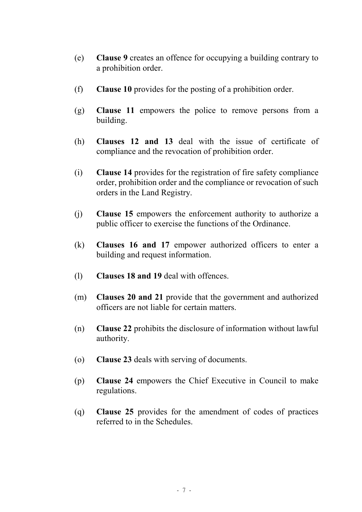- (e) **Clause 9** creates an offence for occupying a building contrary to a prohibition order.
- (f) **Clause 10** provides for the posting of a prohibition order.
- (g) **Clause 11** empowers the police to remove persons from a building.
- (h) **Clauses 12 and 13** deal with the issue of certificate of compliance and the revocation of prohibition order.
- (i) **Clause 14** provides for the registration of fire safety compliance order, prohibition order and the compliance or revocation of such orders in the Land Registry.
- (j) **Clause 15** empowers the enforcement authority to authorize a public officer to exercise the functions of the Ordinance.
- (k) **Clauses 16 and 17** empower authorized officers to enter a building and request information.
- (l) **Clauses 18 and 19** deal with offences.
- (m) **Clauses 20 and 21** provide that the government and authorized officers are not liable for certain matters.
- (n) **Clause 22** prohibits the disclosure of information without lawful authority.
- (o) **Clause 23** deals with serving of documents.
- (p) **Clause 24** empowers the Chief Executive in Council to make regulations.
- (q) **Clause 25** provides for the amendment of codes of practices referred to in the Schedules.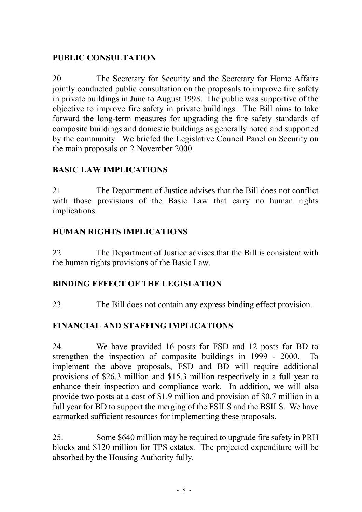# **PUBLIC CONSULTATION**

20. The Secretary for Security and the Secretary for Home Affairs jointly conducted public consultation on the proposals to improve fire safety in private buildings in June to August 1998. The public was supportive of the objective to improve fire safety in private buildings. The Bill aims to take forward the long-term measures for upgrading the fire safety standards of composite buildings and domestic buildings as generally noted and supported by the community. We briefed the Legislative Council Panel on Security on the main proposals on 2 November 2000.

# **BASIC LAW IMPLICATIONS**

21. The Department of Justice advises that the Bill does not conflict with those provisions of the Basic Law that carry no human rights implications.

# **HUMAN RIGHTS IMPLICATIONS**

22. The Department of Justice advises that the Bill is consistent with the human rights provisions of the Basic Law.

# **BINDING EFFECT OF THE LEGISLATION**

23. The Bill does not contain any express binding effect provision.

# **FINANCIAL AND STAFFING IMPLICATIONS**

24. We have provided 16 posts for FSD and 12 posts for BD to strengthen the inspection of composite buildings in 1999 - 2000. To implement the above proposals, FSD and BD will require additional provisions of \$26.3 million and \$15.3 million respectively in a full year to enhance their inspection and compliance work. In addition, we will also provide two posts at a cost of \$1.9 million and provision of \$0.7 million in a full year for BD to support the merging of the FSILS and the BSILS. We have earmarked sufficient resources for implementing these proposals.

25. Some \$640 million may be required to upgrade fire safety in PRH blocks and \$120 million for TPS estates. The projected expenditure will be absorbed by the Housing Authority fully.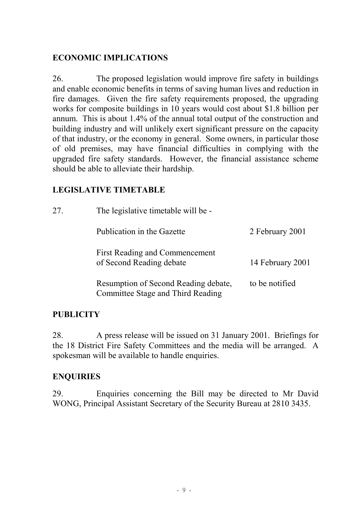# **ECONOMIC IMPLICATIONS**

26. The proposed legislation would improve fire safety in buildings and enable economic benefits in terms of saving human lives and reduction in fire damages. Given the fire safety requirements proposed, the upgrading works for composite buildings in 10 years would cost about \$1.8 billion per annum. This is about 1.4% of the annual total output of the construction and building industry and will unlikely exert significant pressure on the capacity of that industry, or the economy in general. Some owners, in particular those of old premises, may have financial difficulties in complying with the upgraded fire safety standards. However, the financial assistance scheme should be able to alleviate their hardship.

# **LEGISLATIVE TIMETABLE**

| 27. | The legislative timetable will be -                                       |                  |
|-----|---------------------------------------------------------------------------|------------------|
|     | Publication in the Gazette                                                | 2 February 2001  |
|     | <b>First Reading and Commencement</b><br>of Second Reading debate         | 14 February 2001 |
|     | Resumption of Second Reading debate,<br>Committee Stage and Third Reading | to be notified   |

# **PUBLICITY**

28. A press release will be issued on 31 January 2001. Briefings for the 18 District Fire Safety Committees and the media will be arranged. A spokesman will be available to handle enquiries.

# **ENQUIRIES**

29. Enquiries concerning the Bill may be directed to Mr David WONG, Principal Assistant Secretary of the Security Bureau at 2810 3435.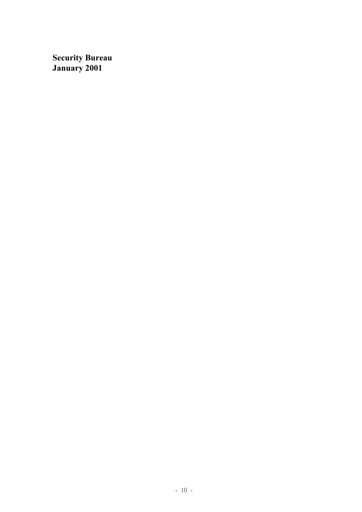**Security Bureau January 2001**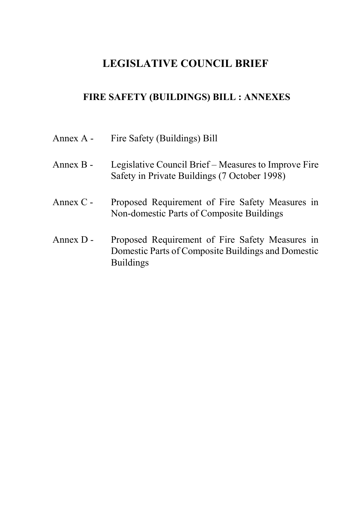# **LEGISLATIVE COUNCIL BRIEF**

# **FIRE SAFETY (BUILDINGS) BILL : ANNEXES**

| Annex A - | Fire Safety (Buildings) Bill                                                                                              |
|-----------|---------------------------------------------------------------------------------------------------------------------------|
| Annex B - | Legislative Council Brief – Measures to Improve Fire<br>Safety in Private Buildings (7 October 1998)                      |
| Annex C - | Proposed Requirement of Fire Safety Measures in<br>Non-domestic Parts of Composite Buildings                              |
| Annex D - | Proposed Requirement of Fire Safety Measures in<br>Domestic Parts of Composite Buildings and Domestic<br><b>Buildings</b> |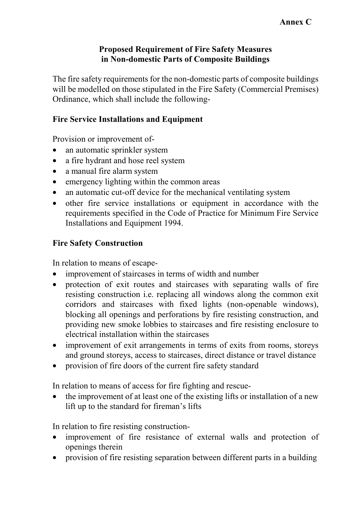### **Proposed Requirement of Fire Safety Measures in Non-domestic Parts of Composite Buildings**

The fire safety requirements for the non-domestic parts of composite buildings will be modelled on those stipulated in the Fire Safety (Commercial Premises) Ordinance, which shall include the following-

### **Fire Service Installations and Equipment**

Provision or improvement of-

- an automatic sprinkler system
- a fire hydrant and hose reel system
- a manual fire alarm system
- emergency lighting within the common areas
- an automatic cut-off device for the mechanical ventilating system
- other fire service installations or equipment in accordance with the requirements specified in the Code of Practice for Minimum Fire Service Installations and Equipment 1994.

# **Fire Safety Construction**

In relation to means of escape-

- improvement of staircases in terms of width and number
- protection of exit routes and staircases with separating walls of fire resisting construction i.e. replacing all windows along the common exit corridors and staircases with fixed lights (non-openable windows), blocking all openings and perforations by fire resisting construction, and providing new smoke lobbies to staircases and fire resisting enclosure to electrical installation within the staircases
- improvement of exit arrangements in terms of exits from rooms, storeys and ground storeys, access to staircases, direct distance or travel distance
- provision of fire doors of the current fire safety standard

In relation to means of access for fire fighting and rescue-

• the improvement of at least one of the existing lifts or installation of a new lift up to the standard for fireman's lifts

In relation to fire resisting construction-

- improvement of fire resistance of external walls and protection of openings therein
- provision of fire resisting separation between different parts in a building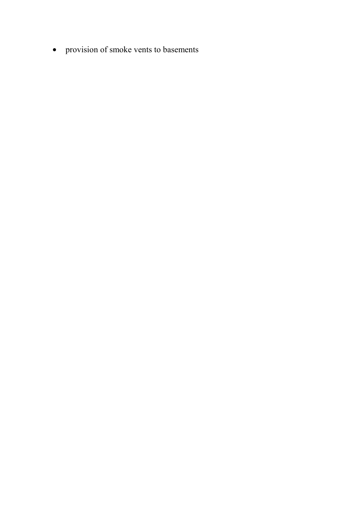• provision of smoke vents to basements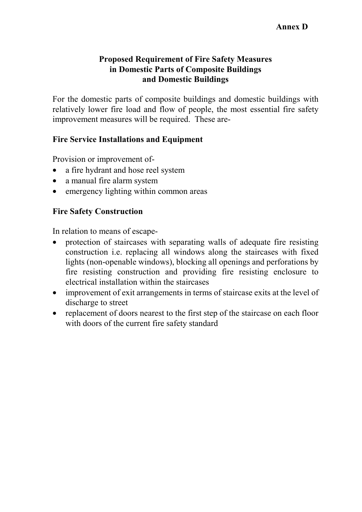### **Proposed Requirement of Fire Safety Measures in Domestic Parts of Composite Buildings and Domestic Buildings**

For the domestic parts of composite buildings and domestic buildings with relatively lower fire load and flow of people, the most essential fire safety improvement measures will be required. These are-

# **Fire Service Installations and Equipment**

Provision or improvement of-

- a fire hydrant and hose reel system
- a manual fire alarm system
- emergency lighting within common areas

### **Fire Safety Construction**

In relation to means of escape-

- protection of staircases with separating walls of adequate fire resisting construction i.e. replacing all windows along the staircases with fixed lights (non-openable windows), blocking all openings and perforations by fire resisting construction and providing fire resisting enclosure to electrical installation within the staircases
- improvement of exit arrangements in terms of staircase exits at the level of discharge to street
- replacement of doors nearest to the first step of the staircase on each floor with doors of the current fire safety standard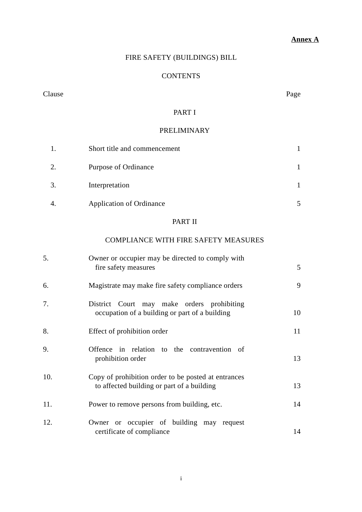### **Annex A**

### FIRE SAFETY (BUILDINGS) BILL

#### **CONTENTS**

#### Clause Page

#### PART I

#### PRELIMINARY

|                | Short title and commencement    |  |
|----------------|---------------------------------|--|
| 2.             | Purpose of Ordinance            |  |
| 3.             | Interpretation                  |  |
| $\overline{4}$ | <b>Application of Ordinance</b> |  |

### PART II

### COMPLIANCE WITH FIRE SAFETY MEASURES

| 5.  | Owner or occupier may be directed to comply with<br>fire safety measures                          | 5  |
|-----|---------------------------------------------------------------------------------------------------|----|
| 6.  | Magistrate may make fire safety compliance orders                                                 | 9  |
| 7.  | District Court may make orders prohibiting<br>occupation of a building or part of a building      | 10 |
| 8.  | Effect of prohibition order                                                                       | 11 |
| 9.  | Offence in relation to the contravention of<br>prohibition order                                  | 13 |
| 10. | Copy of prohibition order to be posted at entrances<br>to affected building or part of a building | 13 |
| 11. | Power to remove persons from building, etc.                                                       | 14 |
| 12. | Owner or occupier of building may request<br>certificate of compliance                            | 14 |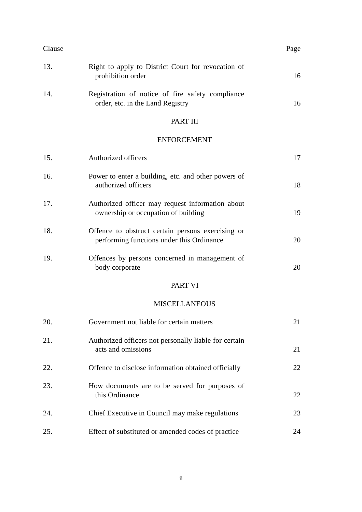| Clause |                                                                                      | Page |
|--------|--------------------------------------------------------------------------------------|------|
| 13.    | Right to apply to District Court for revocation of<br>prohibition order              | 16   |
| 14.    | Registration of notice of fire safety compliance<br>order, etc. in the Land Registry | 16   |

#### PART III

### ENFORCEMENT

| 15. | Authorized officers                                                                            | 17 |
|-----|------------------------------------------------------------------------------------------------|----|
| 16. | Power to enter a building, etc. and other powers of<br>authorized officers                     | 18 |
| 17. | Authorized officer may request information about<br>ownership or occupation of building        | 19 |
| 18. | Offence to obstruct certain persons exercising or<br>performing functions under this Ordinance | 20 |
| 19. | Offences by persons concerned in management of<br>body corporate                               | 20 |
|     | <b>PART VI</b>                                                                                 |    |
|     | <b>MISCELLANEOUS</b>                                                                           |    |
| 20. | Government not liable for certain matters                                                      | 21 |
| 21. | Authorized officers not personally liable for certain<br>acts and omissions                    | 21 |
| 22. | Offence to disclose information obtained officially                                            | 22 |
| 23. | How documents are to be served for purposes of<br>this Ordinance                               | 22 |
| 24. | Chief Executive in Council may make regulations                                                | 23 |
| 25. | Effect of substituted or amended codes of practice                                             | 24 |
|     |                                                                                                |    |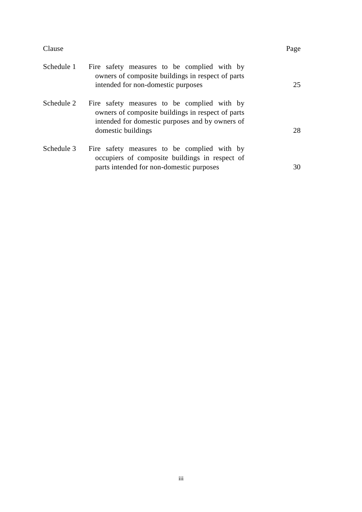| laus |
|------|
|------|

| Clause     |                                                                                                                                                                           | Page |
|------------|---------------------------------------------------------------------------------------------------------------------------------------------------------------------------|------|
| Schedule 1 | Fire safety measures to be complied with by<br>owners of composite buildings in respect of parts<br>intended for non-domestic purposes                                    | 25   |
| Schedule 2 | Fire safety measures to be complied with by<br>owners of composite buildings in respect of parts<br>intended for domestic purposes and by owners of<br>domestic buildings | 28   |
| Schedule 3 | Fire safety measures to be complied with by<br>occupiers of composite buildings in respect of                                                                             |      |
|            | parts intended for non-domestic purposes                                                                                                                                  | 30   |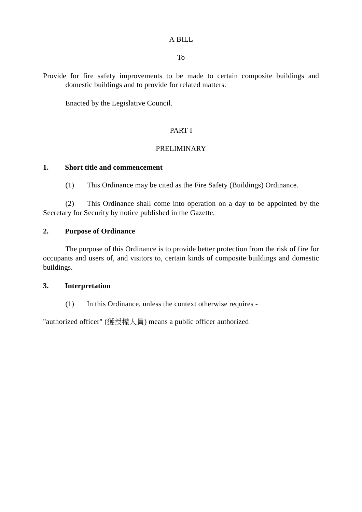#### A BILL

To

Provide for fire safety improvements to be made to certain composite buildings and domestic buildings and to provide for related matters.

Enacted by the Legislative Council.

#### PART I

#### PRELIMINARY

#### **1. Short title and commencement**

(1) This Ordinance may be cited as the Fire Safety (Buildings) Ordinance.

(2) This Ordinance shall come into operation on a day to be appointed by the Secretary for Security by notice published in the Gazette.

#### **2. Purpose of Ordinance**

The purpose of this Ordinance is to provide better protection from the risk of fire for occupants and users of, and visitors to, certain kinds of composite buildings and domestic buildings.

#### **3. Interpretation**

(1) In this Ordinance, unless the context otherwise requires -

"authorized officer" (獲授權㆟員) means a public officer authorized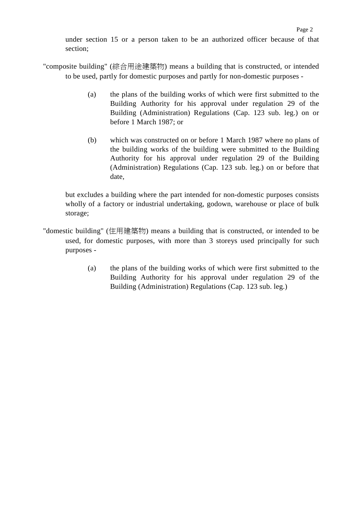under section 15 or a person taken to be an authorized officer because of that section;

- "composite building" (綜合用途建築物) means a building that is constructed, or intended to be used, partly for domestic purposes and partly for non-domestic purposes -
	- (a) the plans of the building works of which were first submitted to the Building Authority for his approval under regulation 29 of the Building (Administration) Regulations (Cap. 123 sub. leg.) on or before 1 March 1987; or
	- (b) which was constructed on or before 1 March 1987 where no plans of the building works of the building were submitted to the Building Authority for his approval under regulation 29 of the Building (Administration) Regulations (Cap. 123 sub. leg.) on or before that date,

but excludes a building where the part intended for non-domestic purposes consists wholly of a factory or industrial undertaking, godown, warehouse or place of bulk storage;

- "domestic building" (住用建築物) means a building that is constructed, or intended to be used, for domestic purposes, with more than 3 storeys used principally for such purposes -
	- (a) the plans of the building works of which were first submitted to the Building Authority for his approval under regulation 29 of the Building (Administration) Regulations (Cap. 123 sub. leg.)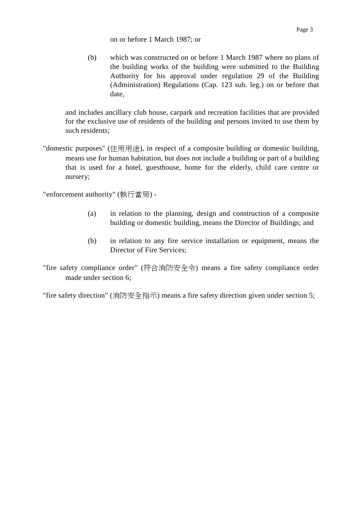(b) which was constructed on or before 1 March 1987 where no plans of the building works of the building were submitted to the Building Authority for his approval under regulation 29 of the Building (Administration) Regulations (Cap. 123 sub. leg.) on or before that date,

and includes ancillary club house, carpark and recreation facilities that are provided for the exclusive use of residents of the building and persons invited to use them by such residents;

"domestic purposes" (住用用途), in respect of a composite building or domestic building, means use for human habitation, but does not include a building or part of a building that is used for a hotel, guesthouse, home for the elderly, child care centre or nursery;

"enforcement authority" (執行當局) -

- (a) in relation to the planning, design and construction of a composite building or domestic building, means the Director of Buildings; and
- (b) in relation to any fire service installation or equipment, means the Director of Fire Services;
- "fire safety compliance order" (符合消防安全令) means a fire safety compliance order made under section 6;

"fire safety direction" (消防安全指示) means a fire safety direction given under section 5;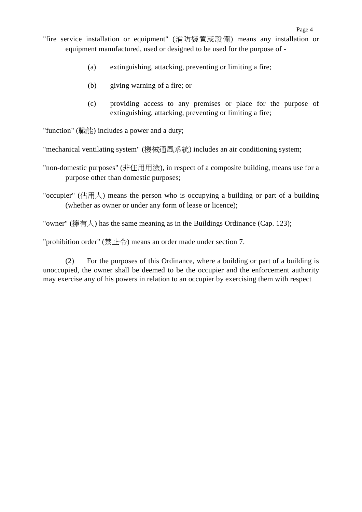- (a) extinguishing, attacking, preventing or limiting a fire;
- (b) giving warning of a fire; or
- (c) providing access to any premises or place for the purpose of extinguishing, attacking, preventing or limiting a fire;

"function" (職能) includes a power and a duty;

"mechanical ventilating system" (機械通風系統) includes an air conditioning system;

"non-domestic purposes" (非住用用途), in respect of a composite building, means use for a purpose other than domestic purposes;

"occupier" (佔用人) means the person who is occupying a building or part of a building (whether as owner or under any form of lease or licence);

"owner" (擁有人) has the same meaning as in the Buildings Ordinance (Cap. 123);

"prohibition order" (禁止令) means an order made under section 7.

(2) For the purposes of this Ordinance, where a building or part of a building is unoccupied, the owner shall be deemed to be the occupier and the enforcement authority may exercise any of his powers in relation to an occupier by exercising them with respect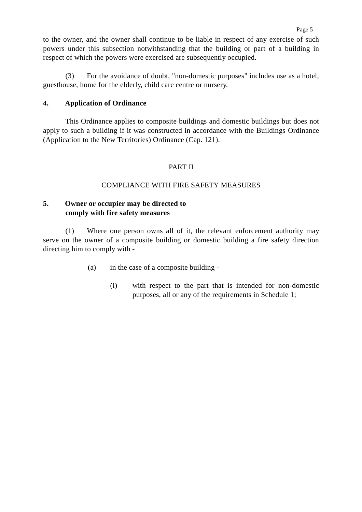to the owner, and the owner shall continue to be liable in respect of any exercise of such powers under this subsection notwithstanding that the building or part of a building in respect of which the powers were exercised are subsequently occupied.

(3) For the avoidance of doubt, "non-domestic purposes" includes use as a hotel, guesthouse, home for the elderly, child care centre or nursery.

#### **4. Application of Ordinance**

This Ordinance applies to composite buildings and domestic buildings but does not apply to such a building if it was constructed in accordance with the Buildings Ordinance (Application to the New Territories) Ordinance (Cap. 121).

#### PART II

#### COMPLIANCE WITH FIRE SAFETY MEASURES

#### **5. Owner or occupier may be directed to comply with fire safety measures**

(1) Where one person owns all of it, the relevant enforcement authority may serve on the owner of a composite building or domestic building a fire safety direction directing him to comply with -

- (a) in the case of a composite building
	- (i) with respect to the part that is intended for non-domestic purposes, all or any of the requirements in Schedule 1;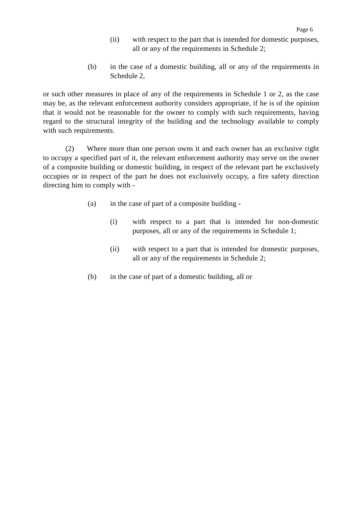- (ii) with respect to the part that is intended for domestic purposes, all or any of the requirements in Schedule 2;
- (b) in the case of a domestic building, all or any of the requirements in Schedule 2,

or such other measures in place of any of the requirements in Schedule 1 or 2, as the case may be, as the relevant enforcement authority considers appropriate, if he is of the opinion that it would not be reasonable for the owner to comply with such requirements, having regard to the structural integrity of the building and the technology available to comply with such requirements.

(2) Where more than one person owns it and each owner has an exclusive right to occupy a specified part of it, the relevant enforcement authority may serve on the owner of a composite building or domestic building, in respect of the relevant part he exclusively occupies or in respect of the part he does not exclusively occupy, a fire safety direction directing him to comply with -

- (a) in the case of part of a composite building
	- (i) with respect to a part that is intended for non-domestic purposes, all or any of the requirements in Schedule 1;
	- (ii) with respect to a part that is intended for domestic purposes, all or any of the requirements in Schedule 2;
- (b) in the case of part of a domestic building, all or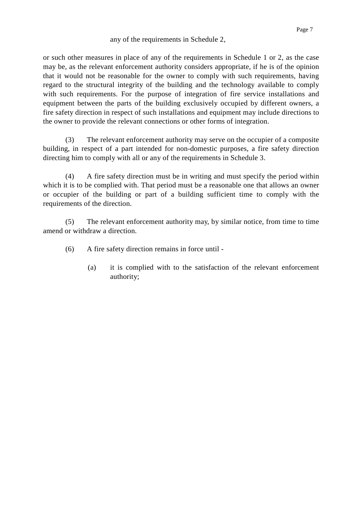#### any of the requirements in Schedule 2,

or such other measures in place of any of the requirements in Schedule 1 or 2, as the case may be, as the relevant enforcement authority considers appropriate, if he is of the opinion that it would not be reasonable for the owner to comply with such requirements, having regard to the structural integrity of the building and the technology available to comply with such requirements. For the purpose of integration of fire service installations and equipment between the parts of the building exclusively occupied by different owners, a fire safety direction in respect of such installations and equipment may include directions to the owner to provide the relevant connections or other forms of integration.

(3) The relevant enforcement authority may serve on the occupier of a composite building, in respect of a part intended for non-domestic purposes, a fire safety direction directing him to comply with all or any of the requirements in Schedule 3.

(4) A fire safety direction must be in writing and must specify the period within which it is to be complied with. That period must be a reasonable one that allows an owner or occupier of the building or part of a building sufficient time to comply with the requirements of the direction.

(5) The relevant enforcement authority may, by similar notice, from time to time amend or withdraw a direction.

- (6) A fire safety direction remains in force until
	- (a) it is complied with to the satisfaction of the relevant enforcement authority;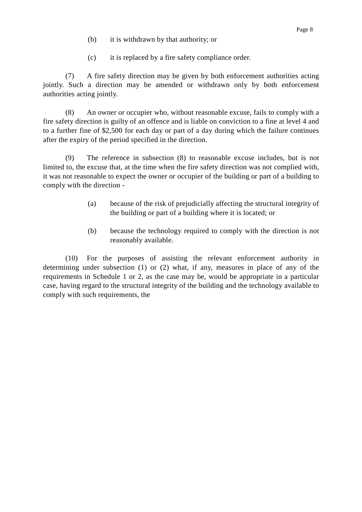- (b) it is withdrawn by that authority; or
- (c) it is replaced by a fire safety compliance order.

(7) A fire safety direction may be given by both enforcement authorities acting jointly. Such a direction may be amended or withdrawn only by both enforcement authorities acting jointly.

(8) An owner or occupier who, without reasonable excuse, fails to comply with a fire safety direction is guilty of an offence and is liable on conviction to a fine at level 4 and to a further fine of \$2,500 for each day or part of a day during which the failure continues after the expiry of the period specified in the direction.

(9) The reference in subsection (8) to reasonable excuse includes, but is not limited to, the excuse that, at the time when the fire safety direction was not complied with, it was not reasonable to expect the owner or occupier of the building or part of a building to comply with the direction -

- (a) because of the risk of prejudicially affecting the structural integrity of the building or part of a building where it is located; or
- (b) because the technology required to comply with the direction is not reasonably available.

(10) For the purposes of assisting the relevant enforcement authority in determining under subsection (1) or (2) what, if any, measures in place of any of the requirements in Schedule 1 or 2, as the case may be, would be appropriate in a particular case, having regard to the structural integrity of the building and the technology available to comply with such requirements, the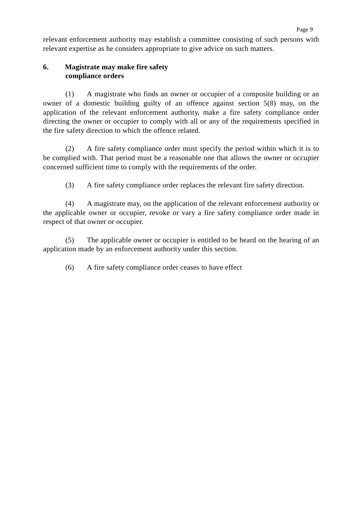relevant enforcement authority may establish a committee consisting of such persons with relevant expertise as he considers appropriate to give advice on such matters.

### **6. Magistrate may make fire safety compliance orders**

(1) A magistrate who finds an owner or occupier of a composite building or an owner of a domestic building guilty of an offence against section 5(8) may, on the application of the relevant enforcement authority, make a fire safety compliance order directing the owner or occupier to comply with all or any of the requirements specified in the fire safety direction to which the offence related.

(2) A fire safety compliance order must specify the period within which it is to be complied with. That period must be a reasonable one that allows the owner or occupier concerned sufficient time to comply with the requirements of the order.

(3) A fire safety compliance order replaces the relevant fire safety direction.

(4) A magistrate may, on the application of the relevant enforcement authority or the applicable owner or occupier, revoke or vary a fire safety compliance order made in respect of that owner or occupier.

(5) The applicable owner or occupier is entitled to be heard on the hearing of an application made by an enforcement authority under this section.

(6) A fire safety compliance order ceases to have effect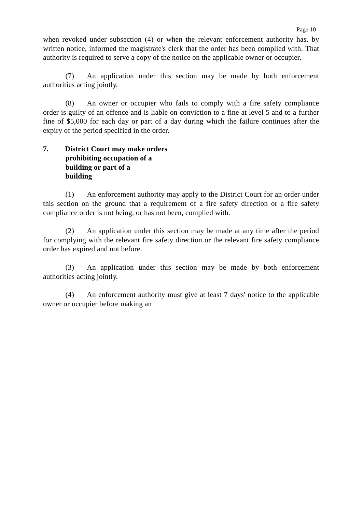when revoked under subsection (4) or when the relevant enforcement authority has, by written notice, informed the magistrate's clerk that the order has been complied with. That authority is required to serve a copy of the notice on the applicable owner or occupier.

(7) An application under this section may be made by both enforcement authorities acting jointly.

(8) An owner or occupier who fails to comply with a fire safety compliance order is guilty of an offence and is liable on conviction to a fine at level 5 and to a further fine of \$5,000 for each day or part of a day during which the failure continues after the expiry of the period specified in the order.

### **7. District Court may make orders prohibiting occupation of a building or part of a building**

(1) An enforcement authority may apply to the District Court for an order under this section on the ground that a requirement of a fire safety direction or a fire safety compliance order is not being, or has not been, complied with.

(2) An application under this section may be made at any time after the period for complying with the relevant fire safety direction or the relevant fire safety compliance order has expired and not before.

(3) An application under this section may be made by both enforcement authorities acting jointly.

(4) An enforcement authority must give at least 7 days' notice to the applicable owner or occupier before making an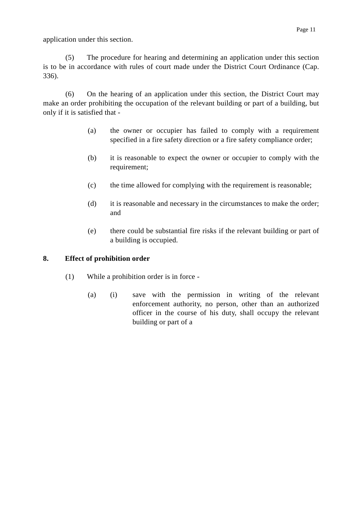application under this section.

(5) The procedure for hearing and determining an application under this section is to be in accordance with rules of court made under the District Court Ordinance (Cap. 336).

(6) On the hearing of an application under this section, the District Court may make an order prohibiting the occupation of the relevant building or part of a building, but only if it is satisfied that -

- (a) the owner or occupier has failed to comply with a requirement specified in a fire safety direction or a fire safety compliance order;
- (b) it is reasonable to expect the owner or occupier to comply with the requirement;
- (c) the time allowed for complying with the requirement is reasonable;
- (d) it is reasonable and necessary in the circumstances to make the order; and
- (e) there could be substantial fire risks if the relevant building or part of a building is occupied.

### **8. Effect of prohibition order**

- (1) While a prohibition order is in force
	- (a) (i) save with the permission in writing of the relevant enforcement authority, no person, other than an authorized officer in the course of his duty, shall occupy the relevant building or part of a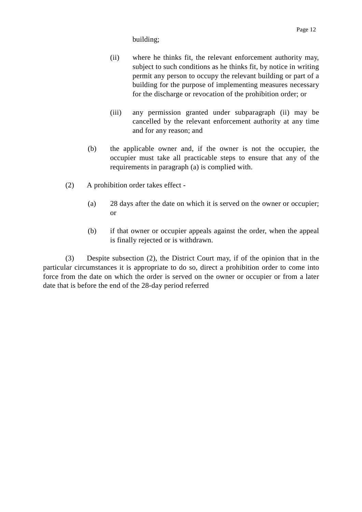#### building;

- (ii) where he thinks fit, the relevant enforcement authority may, subject to such conditions as he thinks fit, by notice in writing permit any person to occupy the relevant building or part of a building for the purpose of implementing measures necessary for the discharge or revocation of the prohibition order; or
- (iii) any permission granted under subparagraph (ii) may be cancelled by the relevant enforcement authority at any time and for any reason; and
- (b) the applicable owner and, if the owner is not the occupier, the occupier must take all practicable steps to ensure that any of the requirements in paragraph (a) is complied with.
- (2) A prohibition order takes effect
	- (a) 28 days after the date on which it is served on the owner or occupier; or
	- (b) if that owner or occupier appeals against the order, when the appeal is finally rejected or is withdrawn.

(3) Despite subsection (2), the District Court may, if of the opinion that in the particular circumstances it is appropriate to do so, direct a prohibition order to come into force from the date on which the order is served on the owner or occupier or from a later date that is before the end of the 28-day period referred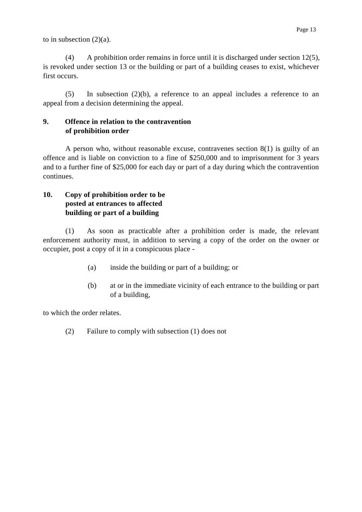to in subsection  $(2)(a)$ .

(4) A prohibition order remains in force until it is discharged under section 12(5), is revoked under section 13 or the building or part of a building ceases to exist, whichever first occurs.

(5) In subsection (2)(b), a reference to an appeal includes a reference to an appeal from a decision determining the appeal.

### **9. Offence in relation to the contravention of prohibition order**

A person who, without reasonable excuse, contravenes section 8(1) is guilty of an offence and is liable on conviction to a fine of \$250,000 and to imprisonment for 3 years and to a further fine of \$25,000 for each day or part of a day during which the contravention continues.

### **10. Copy of prohibition order to be posted at entrances to affected building or part of a building**

(1) As soon as practicable after a prohibition order is made, the relevant enforcement authority must, in addition to serving a copy of the order on the owner or occupier, post a copy of it in a conspicuous place -

- (a) inside the building or part of a building; or
- (b) at or in the immediate vicinity of each entrance to the building or part of a building,

to which the order relates.

(2) Failure to comply with subsection (1) does not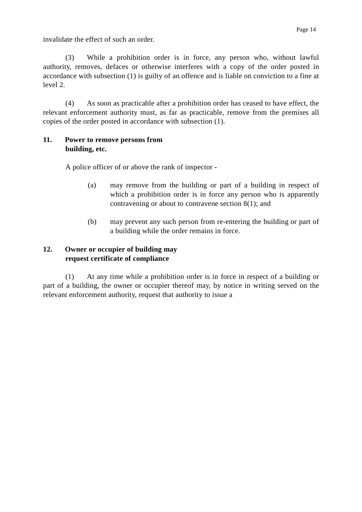invalidate the effect of such an order.

(3) While a prohibition order is in force, any person who, without lawful authority, removes, defaces or otherwise interferes with a copy of the order posted in accordance with subsection (1) is guilty of an offence and is liable on conviction to a fine at level 2.

(4) As soon as practicable after a prohibition order has ceased to have effect, the relevant enforcement authority must, as far as practicable, remove from the premises all copies of the order posted in accordance with subsection (1).

### **11. Power to remove persons from building, etc.**

A police officer of or above the rank of inspector -

- (a) may remove from the building or part of a building in respect of which a prohibition order is in force any person who is apparently contravening or about to contravene section 8(1); and
- (b) may prevent any such person from re-entering the building or part of a building while the order remains in force.

### **12. Owner or occupier of building may request certificate of compliance**

(1) At any time while a prohibition order is in force in respect of a building or part of a building, the owner or occupier thereof may, by notice in writing served on the relevant enforcement authority, request that authority to issue a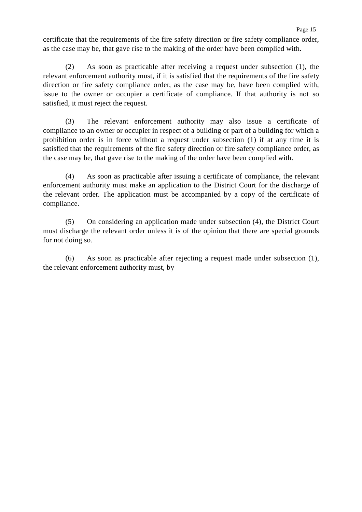certificate that the requirements of the fire safety direction or fire safety compliance order, as the case may be, that gave rise to the making of the order have been complied with.

(2) As soon as practicable after receiving a request under subsection (1), the relevant enforcement authority must, if it is satisfied that the requirements of the fire safety direction or fire safety compliance order, as the case may be, have been complied with, issue to the owner or occupier a certificate of compliance. If that authority is not so satisfied, it must reject the request.

(3) The relevant enforcement authority may also issue a certificate of compliance to an owner or occupier in respect of a building or part of a building for which a prohibition order is in force without a request under subsection (1) if at any time it is satisfied that the requirements of the fire safety direction or fire safety compliance order, as the case may be, that gave rise to the making of the order have been complied with.

(4) As soon as practicable after issuing a certificate of compliance, the relevant enforcement authority must make an application to the District Court for the discharge of the relevant order. The application must be accompanied by a copy of the certificate of compliance.

(5) On considering an application made under subsection (4), the District Court must discharge the relevant order unless it is of the opinion that there are special grounds for not doing so.

(6) As soon as practicable after rejecting a request made under subsection (1), the relevant enforcement authority must, by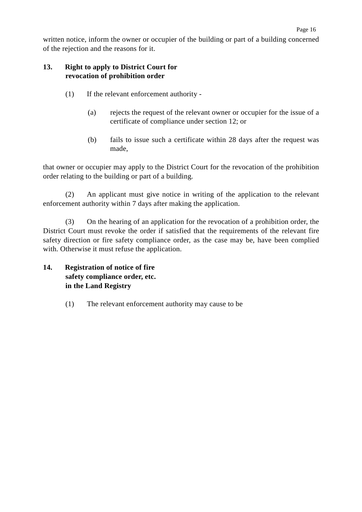Page 16

### **13. Right to apply to District Court for revocation of prohibition order**

- (1) If the relevant enforcement authority
	- (a) rejects the request of the relevant owner or occupier for the issue of a certificate of compliance under section 12; or
	- (b) fails to issue such a certificate within 28 days after the request was made,

that owner or occupier may apply to the District Court for the revocation of the prohibition order relating to the building or part of a building.

(2) An applicant must give notice in writing of the application to the relevant enforcement authority within 7 days after making the application.

(3) On the hearing of an application for the revocation of a prohibition order, the District Court must revoke the order if satisfied that the requirements of the relevant fire safety direction or fire safety compliance order, as the case may be, have been complied with. Otherwise it must refuse the application.

- **14. Registration of notice of fire safety compliance order, etc. in the Land Registry**
	- (1) The relevant enforcement authority may cause to be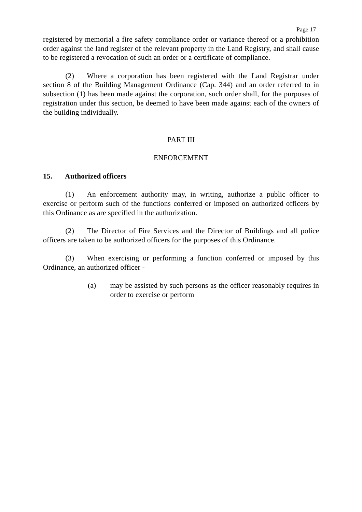registered by memorial a fire safety compliance order or variance thereof or a prohibition order against the land register of the relevant property in the Land Registry, and shall cause to be registered a revocation of such an order or a certificate of compliance.

(2) Where a corporation has been registered with the Land Registrar under section 8 of the Building Management Ordinance (Cap. 344) and an order referred to in subsection (1) has been made against the corporation, such order shall, for the purposes of registration under this section, be deemed to have been made against each of the owners of the building individually.

#### PART III

#### ENFORCEMENT

#### **15. Authorized officers**

(1) An enforcement authority may, in writing, authorize a public officer to exercise or perform such of the functions conferred or imposed on authorized officers by this Ordinance as are specified in the authorization.

(2) The Director of Fire Services and the Director of Buildings and all police officers are taken to be authorized officers for the purposes of this Ordinance.

(3) When exercising or performing a function conferred or imposed by this Ordinance, an authorized officer -

> (a) may be assisted by such persons as the officer reasonably requires in order to exercise or perform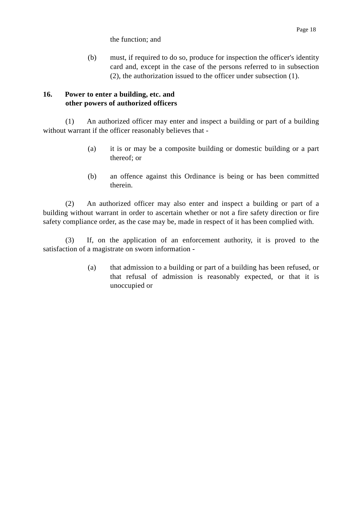(b) must, if required to do so, produce for inspection the officer's identity card and, except in the case of the persons referred to in subsection (2), the authorization issued to the officer under subsection (1).

### **16. Power to enter a building, etc. and other powers of authorized officers**

(1) An authorized officer may enter and inspect a building or part of a building without warrant if the officer reasonably believes that -

- (a) it is or may be a composite building or domestic building or a part thereof; or
- (b) an offence against this Ordinance is being or has been committed therein.

(2) An authorized officer may also enter and inspect a building or part of a building without warrant in order to ascertain whether or not a fire safety direction or fire safety compliance order, as the case may be, made in respect of it has been complied with.

(3) If, on the application of an enforcement authority, it is proved to the satisfaction of a magistrate on sworn information -

> (a) that admission to a building or part of a building has been refused, or that refusal of admission is reasonably expected, or that it is unoccupied or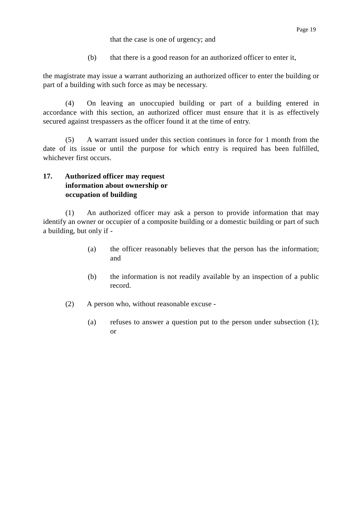that the case is one of urgency; and

(b) that there is a good reason for an authorized officer to enter it,

the magistrate may issue a warrant authorizing an authorized officer to enter the building or part of a building with such force as may be necessary.

(4) On leaving an unoccupied building or part of a building entered in accordance with this section, an authorized officer must ensure that it is as effectively secured against trespassers as the officer found it at the time of entry.

(5) A warrant issued under this section continues in force for 1 month from the date of its issue or until the purpose for which entry is required has been fulfilled, whichever first occurs.

### **17. Authorized officer may request information about ownership or occupation of building**

(1) An authorized officer may ask a person to provide information that may identify an owner or occupier of a composite building or a domestic building or part of such a building, but only if -

- (a) the officer reasonably believes that the person has the information; and
- (b) the information is not readily available by an inspection of a public record.
- (2) A person who, without reasonable excuse
	- (a) refuses to answer a question put to the person under subsection (1); or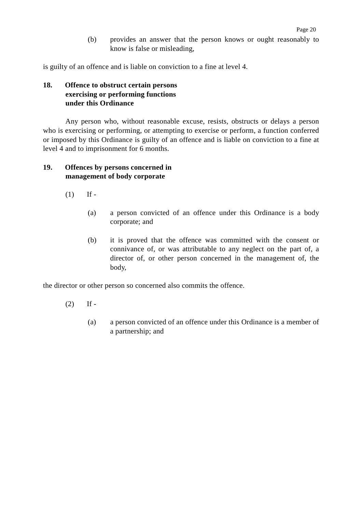(b) provides an answer that the person knows or ought reasonably to know is false or misleading,

is guilty of an offence and is liable on conviction to a fine at level 4.

# **18. Offence to obstruct certain persons exercising or performing functions under this Ordinance**

Any person who, without reasonable excuse, resists, obstructs or delays a person who is exercising or performing, or attempting to exercise or perform, a function conferred or imposed by this Ordinance is guilty of an offence and is liable on conviction to a fine at level 4 and to imprisonment for 6 months.

# **19. Offences by persons concerned in management of body corporate**

- $(1)$  If -
	- (a) a person convicted of an offence under this Ordinance is a body corporate; and
	- (b) it is proved that the offence was committed with the consent or connivance of, or was attributable to any neglect on the part of, a director of, or other person concerned in the management of, the body,

the director or other person so concerned also commits the offence.

- $(2)$  If -
	- (a) a person convicted of an offence under this Ordinance is a member of a partnership; and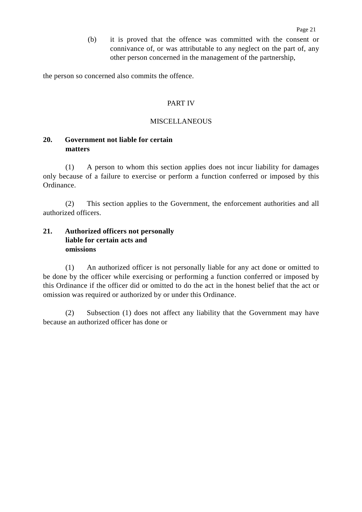(b) it is proved that the offence was committed with the consent or connivance of, or was attributable to any neglect on the part of, any other person concerned in the management of the partnership,

the person so concerned also commits the offence.

# PART IV

## MISCELLANEOUS

# **20. Government not liable for certain matters**

(1) A person to whom this section applies does not incur liability for damages only because of a failure to exercise or perform a function conferred or imposed by this Ordinance.

(2) This section applies to the Government, the enforcement authorities and all authorized officers.

# **21. Authorized officers not personally liable for certain acts and omissions**

(1) An authorized officer is not personally liable for any act done or omitted to be done by the officer while exercising or performing a function conferred or imposed by this Ordinance if the officer did or omitted to do the act in the honest belief that the act or omission was required or authorized by or under this Ordinance.

(2) Subsection (1) does not affect any liability that the Government may have because an authorized officer has done or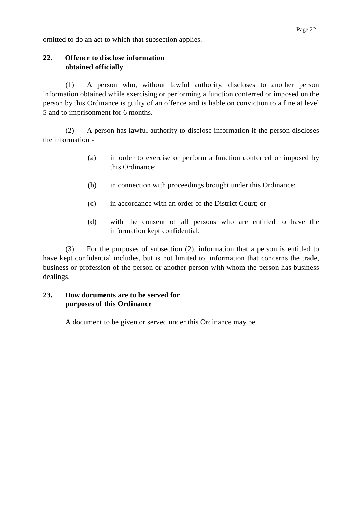omitted to do an act to which that subsection applies.

# **22. Offence to disclose information obtained officially**

(1) A person who, without lawful authority, discloses to another person information obtained while exercising or performing a function conferred or imposed on the person by this Ordinance is guilty of an offence and is liable on conviction to a fine at level 5 and to imprisonment for 6 months.

(2) A person has lawful authority to disclose information if the person discloses the information -

- (a) in order to exercise or perform a function conferred or imposed by this Ordinance;
- (b) in connection with proceedings brought under this Ordinance;
- (c) in accordance with an order of the District Court; or
- (d) with the consent of all persons who are entitled to have the information kept confidential.

(3) For the purposes of subsection (2), information that a person is entitled to have kept confidential includes, but is not limited to, information that concerns the trade, business or profession of the person or another person with whom the person has business dealings.

# **23. How documents are to be served for purposes of this Ordinance**

A document to be given or served under this Ordinance may be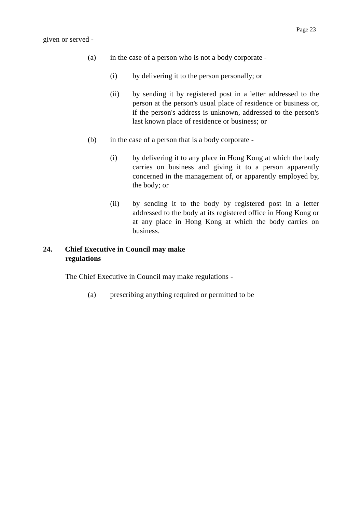- (a) in the case of a person who is not a body corporate
	- (i) by delivering it to the person personally; or
	- (ii) by sending it by registered post in a letter addressed to the person at the person's usual place of residence or business or, if the person's address is unknown, addressed to the person's last known place of residence or business; or
- (b) in the case of a person that is a body corporate
	- (i) by delivering it to any place in Hong Kong at which the body carries on business and giving it to a person apparently concerned in the management of, or apparently employed by, the body; or
	- (ii) by sending it to the body by registered post in a letter addressed to the body at its registered office in Hong Kong or at any place in Hong Kong at which the body carries on business.

# **24. Chief Executive in Council may make regulations**

The Chief Executive in Council may make regulations -

(a) prescribing anything required or permitted to be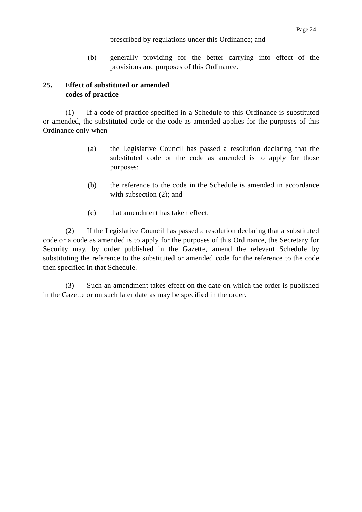# prescribed by regulations under this Ordinance; and

(b) generally providing for the better carrying into effect of the provisions and purposes of this Ordinance.

# **25. Effect of substituted or amended codes of practice**

(1) If a code of practice specified in a Schedule to this Ordinance is substituted or amended, the substituted code or the code as amended applies for the purposes of this Ordinance only when -

- (a) the Legislative Council has passed a resolution declaring that the substituted code or the code as amended is to apply for those purposes;
- (b) the reference to the code in the Schedule is amended in accordance with subsection  $(2)$ ; and
- (c) that amendment has taken effect.

(2) If the Legislative Council has passed a resolution declaring that a substituted code or a code as amended is to apply for the purposes of this Ordinance, the Secretary for Security may, by order published in the Gazette, amend the relevant Schedule by substituting the reference to the substituted or amended code for the reference to the code then specified in that Schedule.

(3) Such an amendment takes effect on the date on which the order is published in the Gazette or on such later date as may be specified in the order.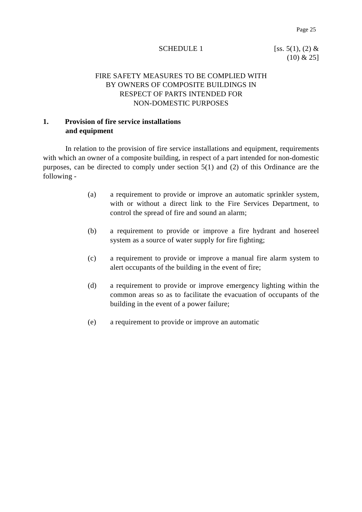### SCHEDULE 1 [ss. 5(1), (2) &

# $(10)$  & 25]

# FIRE SAFETY MEASURES TO BE COMPLIED WITH BY OWNERS OF COMPOSITE BUILDINGS IN RESPECT OF PARTS INTENDED FOR NON-DOMESTIC PURPOSES

# **1. Provision of fire service installations and equipment**

In relation to the provision of fire service installations and equipment, requirements with which an owner of a composite building, in respect of a part intended for non-domestic purposes, can be directed to comply under section 5(1) and (2) of this Ordinance are the following -

- (a) a requirement to provide or improve an automatic sprinkler system, with or without a direct link to the Fire Services Department, to control the spread of fire and sound an alarm;
- (b) a requirement to provide or improve a fire hydrant and hosereel system as a source of water supply for fire fighting;
- (c) a requirement to provide or improve a manual fire alarm system to alert occupants of the building in the event of fire;
- (d) a requirement to provide or improve emergency lighting within the common areas so as to facilitate the evacuation of occupants of the building in the event of a power failure;
- (e) a requirement to provide or improve an automatic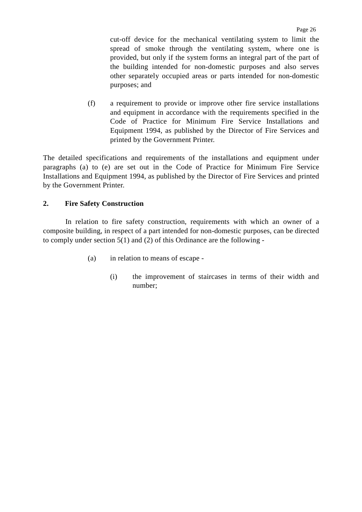cut-off device for the mechanical ventilating system to limit the spread of smoke through the ventilating system, where one is provided, but only if the system forms an integral part of the part of the building intended for non-domestic purposes and also serves other separately occupied areas or parts intended for non-domestic purposes; and

(f) a requirement to provide or improve other fire service installations and equipment in accordance with the requirements specified in the Code of Practice for Minimum Fire Service Installations and Equipment 1994, as published by the Director of Fire Services and printed by the Government Printer.

The detailed specifications and requirements of the installations and equipment under paragraphs (a) to (e) are set out in the Code of Practice for Minimum Fire Service Installations and Equipment 1994, as published by the Director of Fire Services and printed by the Government Printer.

# **2. Fire Safety Construction**

In relation to fire safety construction, requirements with which an owner of a composite building, in respect of a part intended for non-domestic purposes, can be directed to comply under section 5(1) and (2) of this Ordinance are the following -

- (a) in relation to means of escape
	- (i) the improvement of staircases in terms of their width and number;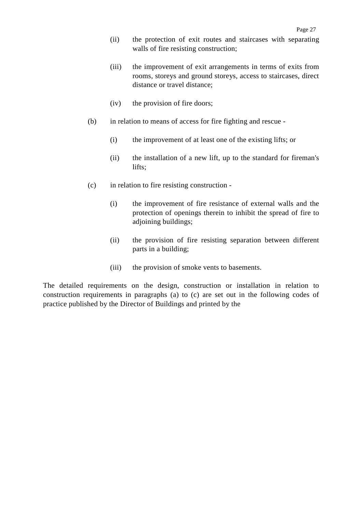- (ii) the protection of exit routes and staircases with separating walls of fire resisting construction;
- (iii) the improvement of exit arrangements in terms of exits from rooms, storeys and ground storeys, access to staircases, direct distance or travel distance;
- (iv) the provision of fire doors;
- (b) in relation to means of access for fire fighting and rescue
	- (i) the improvement of at least one of the existing lifts; or
	- (ii) the installation of a new lift, up to the standard for fireman's lifts;
- (c) in relation to fire resisting construction
	- (i) the improvement of fire resistance of external walls and the protection of openings therein to inhibit the spread of fire to adjoining buildings;
	- (ii) the provision of fire resisting separation between different parts in a building;
	- (iii) the provision of smoke vents to basements.

The detailed requirements on the design, construction or installation in relation to construction requirements in paragraphs (a) to (c) are set out in the following codes of practice published by the Director of Buildings and printed by the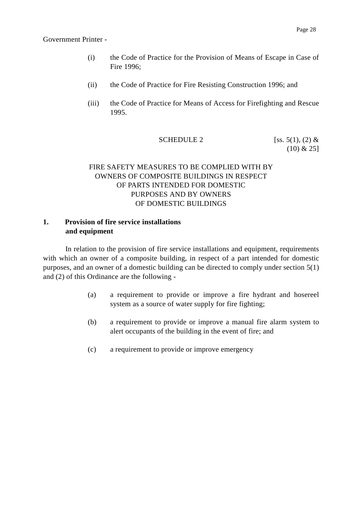Government Printer -

- (i) the Code of Practice for the Provision of Means of Escape in Case of Fire 1996;
- (ii) the Code of Practice for Fire Resisting Construction 1996; and
- (iii) the Code of Practice for Means of Access for Firefighting and Rescue 1995.

**SCHEDULE 2** [ss. 5(1), (2) &  $(10)$  & 25]

# FIRE SAFETY MEASURES TO BE COMPLIED WITH BY OWNERS OF COMPOSITE BUILDINGS IN RESPECT OF PARTS INTENDED FOR DOMESTIC PURPOSES AND BY OWNERS OF DOMESTIC BUILDINGS

# **1. Provision of fire service installations and equipment**

In relation to the provision of fire service installations and equipment, requirements with which an owner of a composite building, in respect of a part intended for domestic purposes, and an owner of a domestic building can be directed to comply under section 5(1) and (2) of this Ordinance are the following -

- (a) a requirement to provide or improve a fire hydrant and hosereel system as a source of water supply for fire fighting;
- (b) a requirement to provide or improve a manual fire alarm system to alert occupants of the building in the event of fire; and
- (c) a requirement to provide or improve emergency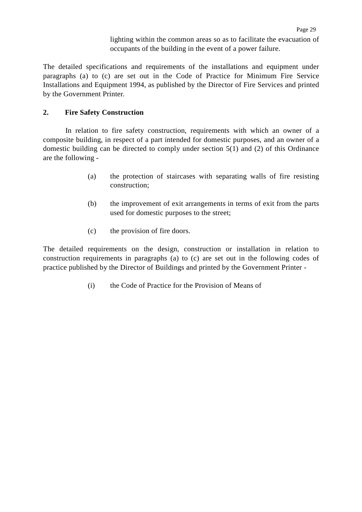lighting within the common areas so as to facilitate the evacuation of occupants of the building in the event of a power failure.

The detailed specifications and requirements of the installations and equipment under paragraphs (a) to (c) are set out in the Code of Practice for Minimum Fire Service Installations and Equipment 1994, as published by the Director of Fire Services and printed by the Government Printer.

# **2. Fire Safety Construction**

In relation to fire safety construction, requirements with which an owner of a composite building, in respect of a part intended for domestic purposes, and an owner of a domestic building can be directed to comply under section 5(1) and (2) of this Ordinance are the following -

- (a) the protection of staircases with separating walls of fire resisting construction;
- (b) the improvement of exit arrangements in terms of exit from the parts used for domestic purposes to the street;
- (c) the provision of fire doors.

The detailed requirements on the design, construction or installation in relation to construction requirements in paragraphs (a) to (c) are set out in the following codes of practice published by the Director of Buildings and printed by the Government Printer -

(i) the Code of Practice for the Provision of Means of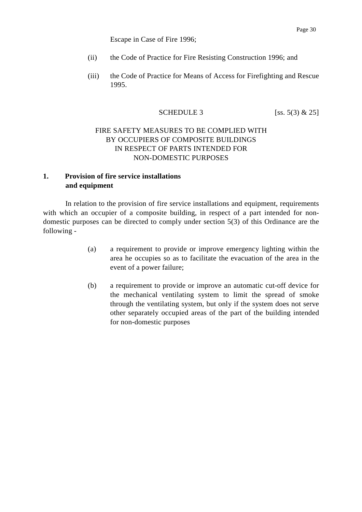Escape in Case of Fire 1996;

- (ii) the Code of Practice for Fire Resisting Construction 1996; and
- (iii) the Code of Practice for Means of Access for Firefighting and Rescue 1995.

# SCHEDULE 3 [ss. 5(3)  $& 25$ ]

# FIRE SAFETY MEASURES TO BE COMPLIED WITH BY OCCUPIERS OF COMPOSITE BUILDINGS IN RESPECT OF PARTS INTENDED FOR NON-DOMESTIC PURPOSES

# **1. Provision of fire service installations and equipment**

In relation to the provision of fire service installations and equipment, requirements with which an occupier of a composite building, in respect of a part intended for nondomestic purposes can be directed to comply under section 5(3) of this Ordinance are the following -

- (a) a requirement to provide or improve emergency lighting within the area he occupies so as to facilitate the evacuation of the area in the event of a power failure;
- (b) a requirement to provide or improve an automatic cut-off device for the mechanical ventilating system to limit the spread of smoke through the ventilating system, but only if the system does not serve other separately occupied areas of the part of the building intended for non-domestic purposes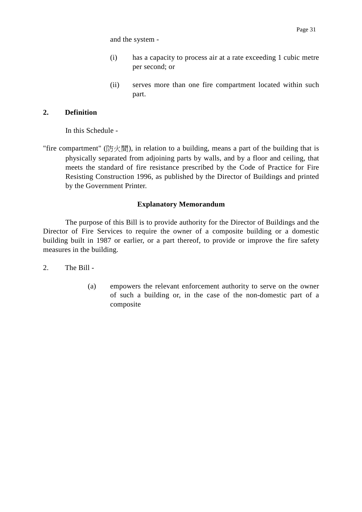and the system -

- (i) has a capacity to process air at a rate exceeding 1 cubic metre per second; or
- (ii) serves more than one fire compartment located within such part.

# **2. Definition**

In this Schedule -

"fire compartment" (防火間), in relation to a building, means a part of the building that is physically separated from adjoining parts by walls, and by a floor and ceiling, that meets the standard of fire resistance prescribed by the Code of Practice for Fire Resisting Construction 1996, as published by the Director of Buildings and printed by the Government Printer.

# **Explanatory Memorandum**

The purpose of this Bill is to provide authority for the Director of Buildings and the Director of Fire Services to require the owner of a composite building or a domestic building built in 1987 or earlier, or a part thereof, to provide or improve the fire safety measures in the building.

- 2. The Bill
	- (a) empowers the relevant enforcement authority to serve on the owner of such a building or, in the case of the non-domestic part of a composite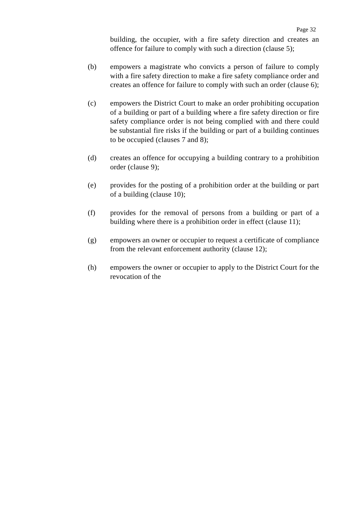building, the occupier, with a fire safety direction and creates an offence for failure to comply with such a direction (clause 5);

- (b) empowers a magistrate who convicts a person of failure to comply with a fire safety direction to make a fire safety compliance order and creates an offence for failure to comply with such an order (clause 6);
- (c) empowers the District Court to make an order prohibiting occupation of a building or part of a building where a fire safety direction or fire safety compliance order is not being complied with and there could be substantial fire risks if the building or part of a building continues to be occupied (clauses 7 and 8);
- (d) creates an offence for occupying a building contrary to a prohibition order (clause 9);
- (e) provides for the posting of a prohibition order at the building or part of a building (clause 10);
- (f) provides for the removal of persons from a building or part of a building where there is a prohibition order in effect (clause 11);
- (g) empowers an owner or occupier to request a certificate of compliance from the relevant enforcement authority (clause 12);
- (h) empowers the owner or occupier to apply to the District Court for the revocation of the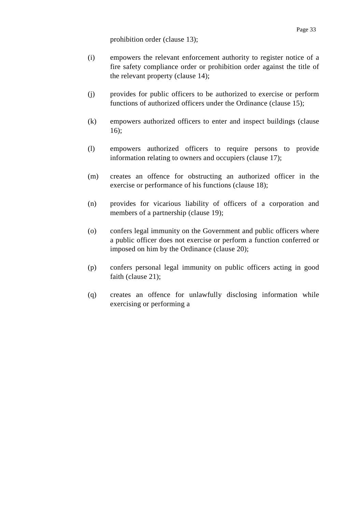prohibition order (clause 13);

- (i) empowers the relevant enforcement authority to register notice of a fire safety compliance order or prohibition order against the title of the relevant property (clause 14);
- (j) provides for public officers to be authorized to exercise or perform functions of authorized officers under the Ordinance (clause 15);
- (k) empowers authorized officers to enter and inspect buildings (clause 16);
- (l) empowers authorized officers to require persons to provide information relating to owners and occupiers (clause 17);
- (m) creates an offence for obstructing an authorized officer in the exercise or performance of his functions (clause 18);
- (n) provides for vicarious liability of officers of a corporation and members of a partnership (clause 19);
- (o) confers legal immunity on the Government and public officers where a public officer does not exercise or perform a function conferred or imposed on him by the Ordinance (clause 20);
- (p) confers personal legal immunity on public officers acting in good faith (clause 21);
- (q) creates an offence for unlawfully disclosing information while exercising or performing a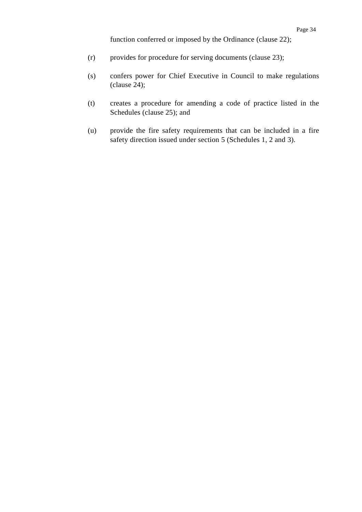function conferred or imposed by the Ordinance (clause 22);

- (r) provides for procedure for serving documents (clause 23);
- (s) confers power for Chief Executive in Council to make regulations (clause 24);
- (t) creates a procedure for amending a code of practice listed in the Schedules (clause 25); and
- (u) provide the fire safety requirements that can be included in a fire safety direction issued under section 5 (Schedules 1, 2 and 3).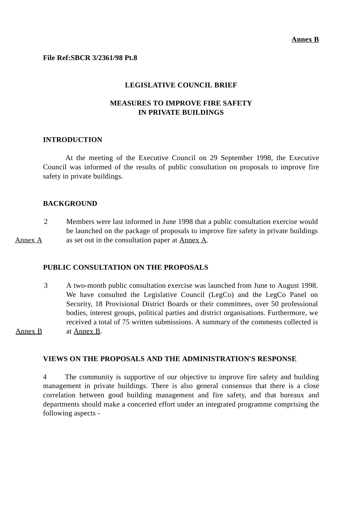# **File Ref:SBCR 3/2361/98 Pt.8**

## **LEGISLATIVE COUNCIL BRIEF**

# **MEASURES TO IMPROVE FIRE SAFETY IN PRIVATE BUILDINGS**

#### **INTRODUCTION**

At the meeting of the Executive Council on 29 September 1998, the Executive Council was informed of the results of public consultation on proposals to improve fire safety in private buildings.

# **BACKGROUND**

Annex A 2 Members were last informed in June 1998 that a public consultation exercise would be launched on the package of proposals to improve fire safety in private buildings as set out in the consultation paper at Annex A.

# **PUBLIC CONSULTATION ON THE PROPOSALS**

Annex B 3 A two-month public consultation exercise was launched from June to August 1998. We have consulted the Legislative Council (LegCo) and the LegCo Panel on Security, 18 Provisional District Boards or their committees, over 50 professional bodies, interest groups, political parties and district organisations. Furthermore, we received a total of 75 written submissions. A summary of the comments collected is at Annex B.

# **VIEWS ON THE PROPOSALS AND THE ADMINISTRATION'S RESPONSE**

4 The community is supportive of our objective to improve fire safety and building management in private buildings. There is also general consensus that there is a close correlation between good building management and fire safety, and that bureaux and departments should make a concerted effort under an integrated programme comprising the following aspects -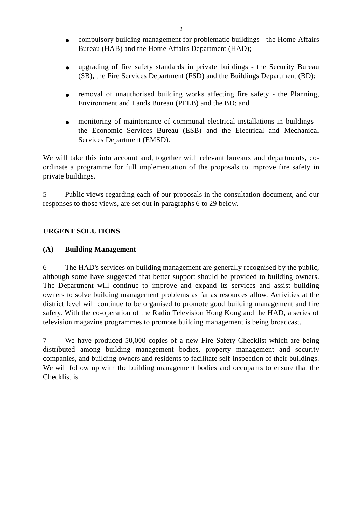- compulsory building management for problematic buildings the Home Affairs Bureau (HAB) and the Home Affairs Department (HAD);
- upgrading of fire safety standards in private buildings the Security Bureau (SB), the Fire Services Department (FSD) and the Buildings Department (BD);
- removal of unauthorised building works affecting fire safety the Planning, Environment and Lands Bureau (PELB) and the BD; and
- monitoring of maintenance of communal electrical installations in buildings the Economic Services Bureau (ESB) and the Electrical and Mechanical Services Department (EMSD).

We will take this into account and, together with relevant bureaux and departments, coordinate a programme for full implementation of the proposals to improve fire safety in private buildings.

5 Public views regarding each of our proposals in the consultation document, and our responses to those views, are set out in paragraphs 6 to 29 below.

# **URGENT SOLUTIONS**

# **(A) Building Management**

6 The HAD's services on building management are generally recognised by the public, although some have suggested that better support should be provided to building owners. The Department will continue to improve and expand its services and assist building owners to solve building management problems as far as resources allow. Activities at the district level will continue to be organised to promote good building management and fire safety. With the co-operation of the Radio Television Hong Kong and the HAD, a series of television magazine programmes to promote building management is being broadcast.

7 We have produced 50,000 copies of a new Fire Safety Checklist which are being distributed among building management bodies, property management and security companies, and building owners and residents to facilitate self-inspection of their buildings. We will follow up with the building management bodies and occupants to ensure that the Checklist is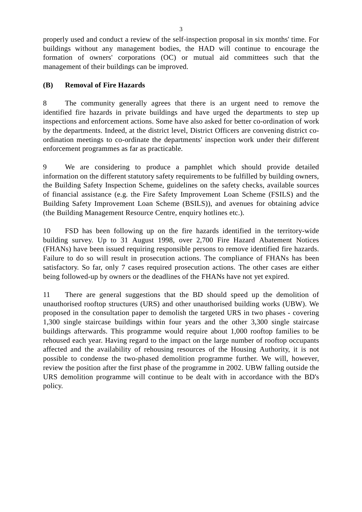properly used and conduct a review of the self-inspection proposal in six months' time. For buildings without any management bodies, the HAD will continue to encourage the formation of owners' corporations (OC) or mutual aid committees such that the management of their buildings can be improved.

# **(B) Removal of Fire Hazards**

8 The community generally agrees that there is an urgent need to remove the identified fire hazards in private buildings and have urged the departments to step up inspections and enforcement actions. Some have also asked for better co-ordination of work by the departments. Indeed, at the district level, District Officers are convening district coordination meetings to co-ordinate the departments' inspection work under their different enforcement programmes as far as practicable.

9 We are considering to produce a pamphlet which should provide detailed information on the different statutory safety requirements to be fulfilled by building owners, the Building Safety Inspection Scheme, guidelines on the safety checks, available sources of financial assistance (e.g. the Fire Safety Improvement Loan Scheme (FSILS) and the Building Safety Improvement Loan Scheme (BSILS)), and avenues for obtaining advice (the Building Management Resource Centre, enquiry hotlines etc.).

10 FSD has been following up on the fire hazards identified in the territory-wide building survey. Up to 31 August 1998, over 2,700 Fire Hazard Abatement Notices (FHANs) have been issued requiring responsible persons to remove identified fire hazards. Failure to do so will result in prosecution actions. The compliance of FHANs has been satisfactory. So far, only 7 cases required prosecution actions. The other cases are either being followed-up by owners or the deadlines of the FHANs have not yet expired.

11 There are general suggestions that the BD should speed up the demolition of unauthorised rooftop structures (URS) and other unauthorised building works (UBW). We proposed in the consultation paper to demolish the targeted URS in two phases - covering 1,300 single staircase buildings within four years and the other 3,300 single staircase buildings afterwards. This programme would require about 1,000 rooftop families to be rehoused each year. Having regard to the impact on the large number of rooftop occupants affected and the availability of rehousing resources of the Housing Authority, it is not possible to condense the two-phased demolition programme further. We will, however, review the position after the first phase of the programme in 2002. UBW falling outside the URS demolition programme will continue to be dealt with in accordance with the BD's policy.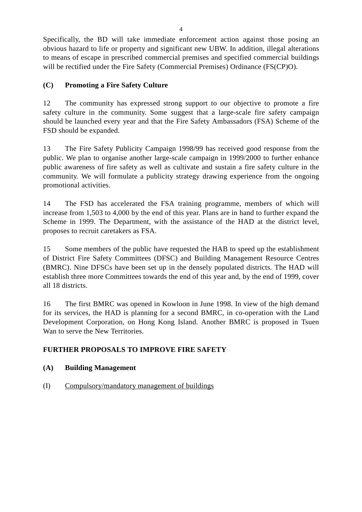Specifically, the BD will take immediate enforcement action against those posing an obvious hazard to life or property and significant new UBW. In addition, illegal alterations to means of escape in prescribed commercial premises and specified commercial buildings will be rectified under the Fire Safety (Commercial Premises) Ordinance (FS(CP)O).

# **(C) Promoting a Fire Safety Culture**

12 The community has expressed strong support to our objective to promote a fire safety culture in the community. Some suggest that a large-scale fire safety campaign should be launched every year and that the Fire Safety Ambassadors (FSA) Scheme of the FSD should be expanded.

13 The Fire Safety Publicity Campaign 1998/99 has received good response from the public. We plan to organise another large-scale campaign in 1999/2000 to further enhance public awareness of fire safety as well as cultivate and sustain a fire safety culture in the community. We will formulate a publicity strategy drawing experience from the ongoing promotional activities.

14 The FSD has accelerated the FSA training programme, members of which will increase from 1,503 to 4,000 by the end of this year. Plans are in hand to further expand the Scheme in 1999. The Department, with the assistance of the HAD at the district level, proposes to recruit caretakers as FSA.

15 Some members of the public have requested the HAB to speed up the establishment of District Fire Safety Committees (DFSC) and Building Management Resource Centres (BMRC). Nine DFSCs have been set up in the densely populated districts. The HAD will establish three more Committees towards the end of this year and, by the end of 1999, cover all 18 districts.

16 The first BMRC was opened in Kowloon in June 1998. In view of the high demand for its services, the HAD is planning for a second BMRC, in co-operation with the Land Development Corporation, on Hong Kong Island. Another BMRC is proposed in Tsuen Wan to serve the New Territories.

# **FURTHER PROPOSALS TO IMPROVE FIRE SAFETY**

# **(A) Building Management**

(I) Compulsory/mandatory management of buildings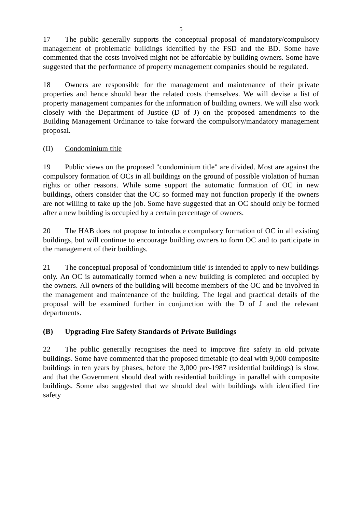17 The public generally supports the conceptual proposal of mandatory/compulsory management of problematic buildings identified by the FSD and the BD. Some have commented that the costs involved might not be affordable by building owners. Some have suggested that the performance of property management companies should be regulated.

18 Owners are responsible for the management and maintenance of their private properties and hence should bear the related costs themselves. We will devise a list of property management companies for the information of building owners. We will also work closely with the Department of Justice (D of J) on the proposed amendments to the Building Management Ordinance to take forward the compulsory/mandatory management proposal.

# (II) Condominium title

19 Public views on the proposed "condominium title" are divided. Most are against the compulsory formation of OCs in all buildings on the ground of possible violation of human rights or other reasons. While some support the automatic formation of OC in new buildings, others consider that the OC so formed may not function properly if the owners are not willing to take up the job. Some have suggested that an OC should only be formed after a new building is occupied by a certain percentage of owners.

20 The HAB does not propose to introduce compulsory formation of OC in all existing buildings, but will continue to encourage building owners to form OC and to participate in the management of their buildings.

21 The conceptual proposal of 'condominium title' is intended to apply to new buildings only. An OC is automatically formed when a new building is completed and occupied by the owners. All owners of the building will become members of the OC and be involved in the management and maintenance of the building. The legal and practical details of the proposal will be examined further in conjunction with the D of J and the relevant departments.

# **(B) Upgrading Fire Safety Standards of Private Buildings**

22 The public generally recognises the need to improve fire safety in old private buildings. Some have commented that the proposed timetable (to deal with 9,000 composite buildings in ten years by phases, before the 3,000 pre-1987 residential buildings) is slow, and that the Government should deal with residential buildings in parallel with composite buildings. Some also suggested that we should deal with buildings with identified fire safety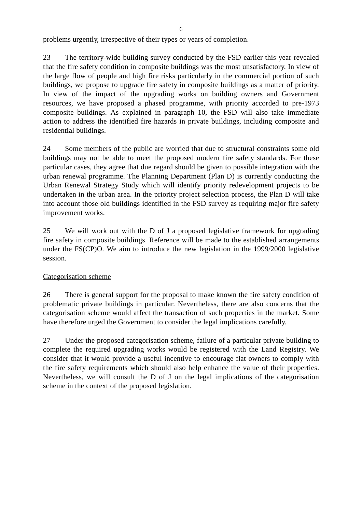problems urgently, irrespective of their types or years of completion.

23 The territory-wide building survey conducted by the FSD earlier this year revealed that the fire safety condition in composite buildings was the most unsatisfactory. In view of the large flow of people and high fire risks particularly in the commercial portion of such buildings, we propose to upgrade fire safety in composite buildings as a matter of priority. In view of the impact of the upgrading works on building owners and Government resources, we have proposed a phased programme, with priority accorded to pre-1973 composite buildings. As explained in paragraph 10, the FSD will also take immediate action to address the identified fire hazards in private buildings, including composite and residential buildings.

24 Some members of the public are worried that due to structural constraints some old buildings may not be able to meet the proposed modern fire safety standards. For these particular cases, they agree that due regard should be given to possible integration with the urban renewal programme. The Planning Department (Plan D) is currently conducting the Urban Renewal Strategy Study which will identify priority redevelopment projects to be undertaken in the urban area. In the priority project selection process, the Plan D will take into account those old buildings identified in the FSD survey as requiring major fire safety improvement works.

25 We will work out with the D of J a proposed legislative framework for upgrading fire safety in composite buildings. Reference will be made to the established arrangements under the FS(CP)O. We aim to introduce the new legislation in the 1999/2000 legislative session.

# Categorisation scheme

26 There is general support for the proposal to make known the fire safety condition of problematic private buildings in particular. Nevertheless, there are also concerns that the categorisation scheme would affect the transaction of such properties in the market. Some have therefore urged the Government to consider the legal implications carefully.

27 Under the proposed categorisation scheme, failure of a particular private building to complete the required upgrading works would be registered with the Land Registry. We consider that it would provide a useful incentive to encourage flat owners to comply with the fire safety requirements which should also help enhance the value of their properties. Nevertheless, we will consult the D of J on the legal implications of the categorisation scheme in the context of the proposed legislation.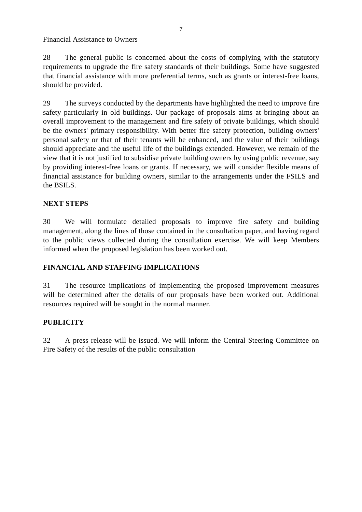Financial Assistance to Owners

28 The general public is concerned about the costs of complying with the statutory requirements to upgrade the fire safety standards of their buildings. Some have suggested that financial assistance with more preferential terms, such as grants or interest-free loans, should be provided.

29 The surveys conducted by the departments have highlighted the need to improve fire safety particularly in old buildings. Our package of proposals aims at bringing about an overall improvement to the management and fire safety of private buildings, which should be the owners' primary responsibility. With better fire safety protection, building owners' personal safety or that of their tenants will be enhanced, and the value of their buildings should appreciate and the useful life of the buildings extended. However, we remain of the view that it is not justified to subsidise private building owners by using public revenue, say by providing interest-free loans or grants. If necessary, we will consider flexible means of financial assistance for building owners, similar to the arrangements under the FSILS and the BSILS.

# **NEXT STEPS**

30 We will formulate detailed proposals to improve fire safety and building management, along the lines of those contained in the consultation paper, and having regard to the public views collected during the consultation exercise. We will keep Members informed when the proposed legislation has been worked out.

# **FINANCIAL AND STAFFING IMPLICATIONS**

31 The resource implications of implementing the proposed improvement measures will be determined after the details of our proposals have been worked out. Additional resources required will be sought in the normal manner.

# **PUBLICITY**

32 A press release will be issued. We will inform the Central Steering Committee on Fire Safety of the results of the public consultation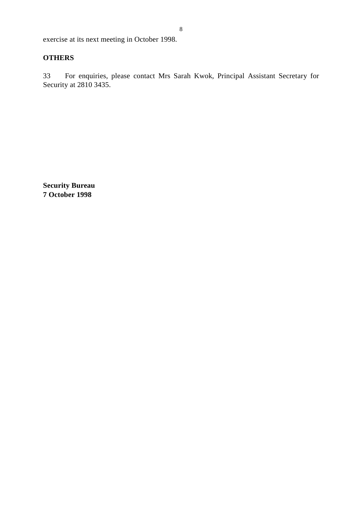exercise at its next meeting in October 1998.

# **OTHERS**

33 For enquiries, please contact Mrs Sarah Kwok, Principal Assistant Secretary for Security at 2810 3435.

**Security Bureau 7 October 1998**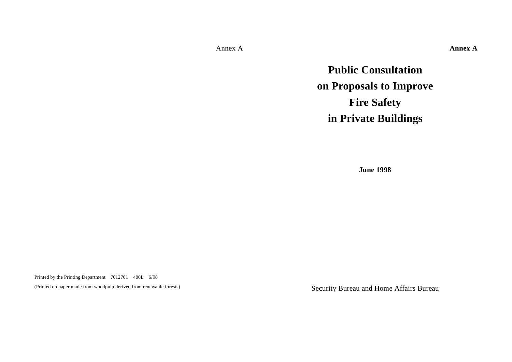Annex A

**Annex A**

**Public Consultation on Proposals to Improve Fire Safety in Private Buildings**

**June 1998**

Printed by the Printing Department 7012701―400L―6/98

(Printed on paper made from woodpulp derived from renewable forests)

Security Bureau and Home Affairs Bureau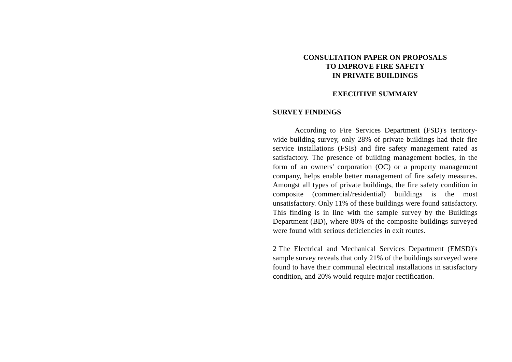# **CONSULTATION PAPER ON PROPOSALSTO IMPROVE FIRE SAFETYIN PRIVATE BUILDINGS**

#### **EXECUTIVE SUMMARY**

#### **SURVEY FINDINGS**

According to Fire Services Department (FSD)'s territorywide building survey, only 28% of private buildings had their fire service installations (FSIs) and fire safety management rated as satisfactory. The presence of building management bodies, in the form of an owners' corporation (OC) or a property management company, helps enable better management of fire safety measures. Amongst all types of private buildings, the fire safety condition in composite (commercial/residential) buildings is the most unsatisfactory. Only 11% of these buildings were found satisfactory. This finding is in line with the sample survey by the Buildings Department (BD), where 80% of the composite buildings surveyed were found with serious deficiencies in exit routes.

2 The Electrical and Mechanical Services Department (EMSD)'s sample survey reveals that only 21% of the buildings surveyed were found to have their communal electrical installations in satisfactory condition, and 20% would require major rectification.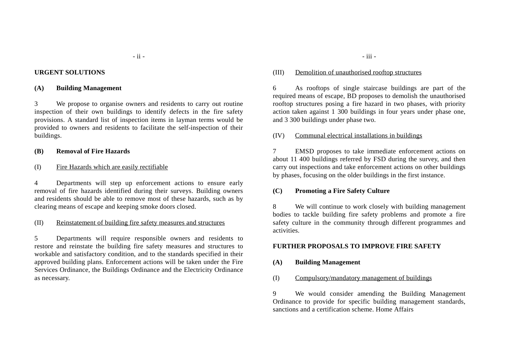#### **URGENT SOLUTIONS**

#### **(A) Building Management**

3 We propose to organise owners and residents to carry out routine inspection of their own buildings to identify defects in the fire safety provisions. A standard list of inspection items in layman terms would be provided to owners and residents to facilitate the self-inspection of their buildings.

#### **(B) Removal of Fire Hazards**

#### (I) Fire Hazards which are easily rectifiable

4 Departments will step up enforcement actions to ensure early removal of fire hazards identified during their surveys. Building owners and residents should be able to remove most of these hazards, such as by clearing means of escape and keeping smoke doors closed.

#### (II) Reinstatement of building fire safety measures and structures

5 Departments will require responsible owners and residents to restore and reinstate the building fire safety measures and structures to workable and satisfactory condition, and to the standards specified in their approved building plans. Enforcement actions will be taken under the Fire Services Ordinance, the Buildings Ordinance and the Electricity Ordinance as necessary.

#### (III) Demolition of unauthorised rooftop structures

6 As rooftops of single staircase buildings are part of the required means of escape, BD proposes to demolish the unauthorised rooftop structures posing a fire hazard in two phases, with priority action taken against 1 300 buildings in four years under phase one, and 3 300 buildings under phase two.

#### (IV) Communal electrical installations in buildings

7 EMSD proposes to take immediate enforcement actions on about 11 400 buildings referred by FSD during the survey, and then carry out inspections and take enforcement actions on other buildings by phases, focusing on the older buildings in the first instance.

#### **(C) Promoting a Fire Safety Culture**

8 We will continue to work closely with building management bodies to tackle building fire safety problems and promote a fire safety culture in the community through different programmes and activities.

#### **FURTHER PROPOSALS TO IMPROVE FIRE SAFETY**

#### **(A) Building Management**

(I) Compulsory/mandatory management of buildings

9 We would consider amending the Building Management Ordinance to provide for specific building management standards, sanctions and a certification scheme. Home Affairs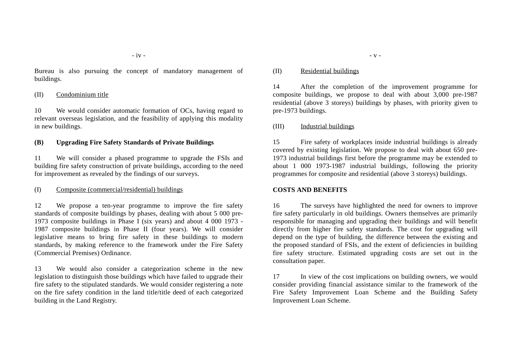Bureau is also pursuing the concept of mandatory management of buildings.

#### (II) Condominium title

10 We would consider automatic formation of OCs, having regard to relevant overseas legislation, and the feasibility of applying this modality in new buildings.

#### **(B) Upgrading Fire Safety Standards of Private Buildings**

11 We will consider a phased programme to upgrade the FSIs and building fire safety construction of private buildings, according to the need for improvement as revealed by the findings of our surveys.

#### (I) Composite (commercial/residential) buildings

12 We propose a ten-year programme to improve the fire safety standards of composite buildings by phases, dealing with about 5 000 pre-1973 composite buildings in Phase I (six years) and about 4 000 1973 - 1987 composite buildings in Phase II (four years). We will consider legislative means to bring fire safety in these buildings to modern standards, by making reference to the framework under the Fire Safety (Commercial Premises) Ordinance.

13 We would also consider a categorization scheme in the new legislation to distinguish those buildings which have failed to upgrade their fire safety to the stipulated standards. We would consider registering a note on the fire safety condition in the land title/title deed of each categorized building in the Land Registry.

#### (II) Residential buildings

14 After the completion of the improvement programme for composite buildings, we propose to deal with about 3,000 pre-1987 residential (above 3 storeys) buildings by phases, with priority given to pre-1973 buildings.

#### (III) Industrial buildings

15 Fire safety of workplaces inside industrial buildings is already covered by existing legislation. We propose to deal with about 650 pre-1973 industrial buildings first before the programme may be extended to about 1 000 1973-1987 industrial buildings, following the priority programmes for composite and residential (above 3 storeys) buildings.

#### **COSTS AND BENEFITS**

16 The surveys have highlighted the need for owners to improve fire safety particularly in old buildings. Owners themselves are primarily responsible for managing and upgrading their buildings and will benefit directly from higher fire safety standards. The cost for upgrading will depend on the type of building, the difference between the existing and the proposed standard of FSIs, and the extent of deficiencies in building fire safety structure. Estimated upgrading costs are set out in the consultation paper.

17 In view of the cost implications on building owners, we would consider providing financial assistance similar to the framework of the Fire Safety Improvement Loan Scheme and the Building Safety Improvement Loan Scheme.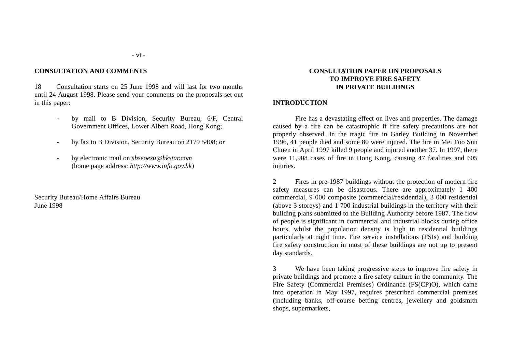#### **CONSULTATION AND COMMENTS**

18 Consultation starts on 25 June 1998 and will last for two monthsuntil 24 August 1998. Please send your comments on the proposals set out in this paper:

- by mail to B Division, Security Bureau, 6/F, Central Government Offices, Lower Albert Road, Hong Kong;
- by fax to B Division, Security Bureau on 2179 5408; or
- by electronic mail on *sbseoesu@hkstar.com* (home page address: *http://www.info.gov.hk*)

Security Bureau/Home Affairs Bureau June 1998

#### **CONSULTATION PAPER ON PROPOSALSTO IMPROVE FIRE SAFETYIN PRIVATE BUILDINGS**

#### **INTRODUCTION**

Fire has a devastating effect on lives and properties. The damage caused by a fire can be catastrophic if fire safety precautions are not properly observed. In the tragic fire in Garley Building in November 1996, 41 people died and some 80 were injured. The fire in Mei Foo Sun Chuen in April 1997 killed 9 people and injured another 37. In 1997, there were 11,908 cases of fire in Hong Kong, causing 47 fatalities and 605 injuries.

2 Fires in pre-1987 buildings without the protection of modern fire safety measures can be disastrous. There are approximately 1 400 commercial, 9 000 composite (commercial/residential), 3 000 residential (above 3 storeys) and 1 700 industrial buildings in the territory with their building plans submitted to the Building Authority before 1987. The flow of people is significant in commercial and industrial blocks during office hours, whilst the population density is high in residential buildings particularly at night time. Fire service installations (FSIs) and building fire safety construction in most of these buildings are not up to present day standards.

3 We have been taking progressive steps to improve fire safety in private buildings and promote a fire safety culture in the community. The Fire Safety (Commercial Premises) Ordinance (FS(CP)O), which came into operation in May 1997, requires prescribed commercial premises (including banks, off-course betting centres, jewellery and goldsmith shops, supermarkets,

#### **-** vi **-**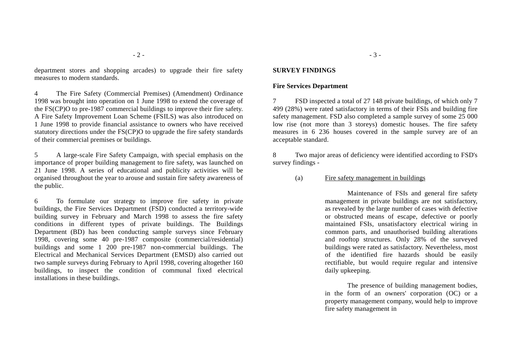department stores and shopping arcades) to upgrade their fire safety measures to modern standards.

4 The Fire Safety (Commercial Premises) (Amendment) Ordinance 1998 was brought into operation on 1 June 1998 to extend the coverage of the FS(CP)O to pre-1987 commercial buildings to improve their fire safety. A Fire Safety Improvement Loan Scheme (FSILS) was also introduced on 1 June 1998 to provide financial assistance to owners who have received statutory directions under the FS(CP)O to upgrade the fire safety standards of their commercial premises or buildings.

5 A large-scale Fire Safety Campaign, with special emphasis on the importance of proper building management to fire safety, was launched on 21 June 1998. A series of educational and publicity activities will be organised throughout the year to arouse and sustain fire safety awareness of the public.

6 To formulate our strategy to improve fire safety in private buildings, the Fire Services Department (FSD) conducted a territory-wide building survey in February and March 1998 to assess the fire safety conditions in different types of private buildings. The Buildings Department (BD) has been conducting sample surveys since February 1998, covering some 40 pre-1987 composite (commercial/residential) buildings and some 1 200 pre-1987 non-commercial buildings. The Electrical and Mechanical Services Department (EMSD) also carried out two sample surveys during February to April 1998, covering altogether 160 buildings, to inspect the condition of communal fixed electrical installations in these buildings.

#### **SURVEY FINDINGS**

#### **Fire Services Department**

7 FSD inspected a total of 27 148 private buildings, of which only 7 499 (28%) were rated satisfactory in terms of their FSIs and building fire safety management. FSD also completed a sample survey of some 25 000 low rise (not more than 3 storeys) domestic houses. The fire safety measures in 6 236 houses covered in the sample survey are of an acceptable standard.

8 Two major areas of deficiency were identified according to FSD's survey findings -

(a) Fire safety management in buildings

Maintenance of FSIs and general fire safety management in private buildings are not satisfactory, as revealed by the large number of cases with defective or obstructed means of escape, defective or poorly maintained FSIs, unsatisfactory electrical wiring in common parts, and unauthorised building alterations and rooftop structures. Only 28% of the surveyed buildings were rated as satisfactory. Nevertheless, most of the identified fire hazards should be easily rectifiable, but would require regular and intensive daily upkeeping.

The presence of building management bodies, in the form of an owners' corporation (OC) or a property management company, would help to improve fire safety management in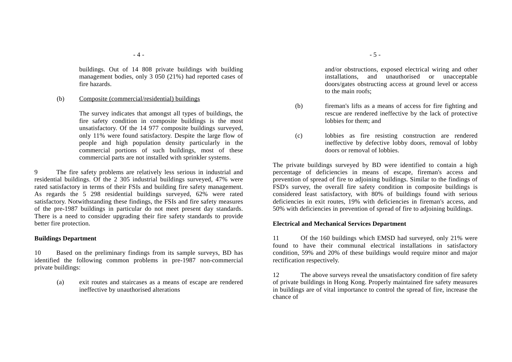buildings. Out of 14 808 private buildings with building management bodies, only 3 050 (21%) had reported cases of fire hazards.

#### (b) Composite (commercial/residential) buildings

The survey indicates that amongst all types of buildings, the fire safety condition in composite buildings is the most unsatisfactory. Of the 14 977 composite buildings surveyed, only 11% were found satisfactory. Despite the large flow of people and high population density particularly in the commercial portions of such buildings, most of these commercial parts are not installed with sprinkler systems.

9 The fire safety problems are relatively less serious in industrial and residential buildings. Of the 2 305 industrial buildings surveyed, 47% were rated satisfactory in terms of their FSIs and building fire safety management. As regards the 5 298 residential buildings surveyed, 62% were rated satisfactory. Notwithstanding these findings, the FSIs and fire safety measures of the pre-1987 buildings in particular do not meet present day standards. There is a need to consider upgrading their fire safety standards to provide better fire protection.

#### **Buildings Department**

10 Based on the preliminary findings from its sample surveys, BD has identified the following common problems in pre-1987 non-commercial private buildings:

> (a) exit routes and staircases as a means of escape are rendered ineffective by unauthorised alterations

and/or obstructions, exposed electrical wiring and other installations, and unauthorised or unacceptable doors/gates obstructing access at ground level or access to the main roofs;

- (b) fireman's lifts as a means of access for fire fighting and rescue are rendered ineffective by the lack of protective lobbies for them; and
- (c) lobbies as fire resisting construction are rendered ineffective by defective lobby doors, removal of lobby doors or removal of lobbies.

The private buildings surveyed by BD were identified to contain a high percentage of deficiencies in means of escape, fireman's access and prevention of spread of fire to adjoining buildings. Similar to the findings of FSD's survey, the overall fire safety condition in composite buildings is considered least satisfactory, with 80% of buildings found with serious deficiencies in exit routes, 19% with deficiencies in fireman's access, and 50% with deficiencies in prevention of spread of fire to adjoining buildings.

#### **Electrical and Mechanical Services Department**

11 Of the 160 buildings which EMSD had surveyed, only 21% were found to have their communal electrical installations in satisfactory condition, 59% and 20% of these buildings would require minor and major rectification respectively.

12 The above surveys reveal the unsatisfactory condition of fire safety of private buildings in Hong Kong. Properly maintained fire safety measures in buildings are of vital importance to control the spread of fire, increase the chance of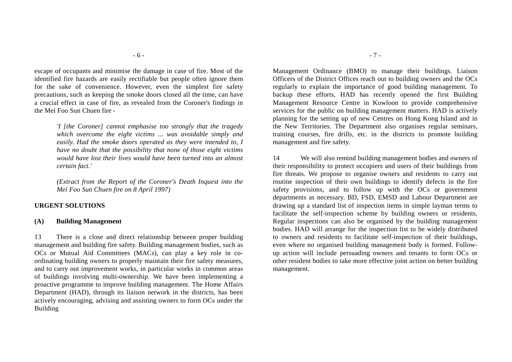escape of occupants and minimise the damage in case of fire. Most of the identified fire hazards are easily rectifiable but people often ignore them for the sake of convenience. However, even the simplest fire safety precautions, such as keeping the smoke doors closed all the time, can have a crucial effect in case of fire, as revealed from the Coroner's findings in the Mei Foo Sun Chuen fire -

> *'I [the Coroner] cannot emphasise too strongly that the tragedy which overcome the eight victims ... was avoidable simply and easily. Had the smoke doors operated as they were intended to, I have no doubt that the possibility that none of those eight victims would have lost their lives would have been turned into an almost certain fact.'*

> *(Extract from the Report of the Coroner's Death Inquest into the Mei Foo Sun Chuen fire on 8 April 1997)*

#### **URGENT SOLUTIONS**

#### **(A) Building Management**

13 There is a close and direct relationship between proper building management and building fire safety. Building management bodies, such as OCs or Mutual Aid Committees (MACs), can play a key role in coordinating building owners to properly maintain their fire safety measures, and to carry out improvement works, in particular works in common areas of buildings involving multi-ownership. We have been implementing a proactive programme to improve building management. The Home Affairs Department (HAD), through its liaison network in the districts, has been actively encouraging, advising and assisting owners to form OCs under the Building

Management Ordinance (BMO) to manage their buildings. Liaison Officers of the District Offices reach out to building owners and the OCs regularly to explain the importance of good building management. To backup these efforts, HAD has recently opened the first Building Management Resource Centre in Kowloon to provide comprehensive services for the public on building management matters. HAD is actively planning for the setting up of new Centres on Hong Kong Island and in the New Territories. The Department also organises regular seminars, training courses, fire drills, etc. in the districts to promote building management and fire safety.

14 We will also remind building management bodies and owners of their responsibility to protect occupiers and users of their buildings from fire threats. We propose to organise owners and residents to carry out routine inspection of their own buildings to identify defects in the fire safety provisions, and to follow up with the OCs or government departments as necessary. BD, FSD, EMSD and Labour Department are drawing up a standard list of inspection items in simple layman terms to facilitate the self-inspection scheme by building owners or residents. Regular inspections can also be organised by the building management bodies. HAD will arrange for the inspection list to be widely distributed to owners and residents to facilitate self-inspection of their buildings, even where no organised building management body is formed. Followup action will include persuading owners and tenants to form OCs or other resident bodies to take more effective joint action on better building management.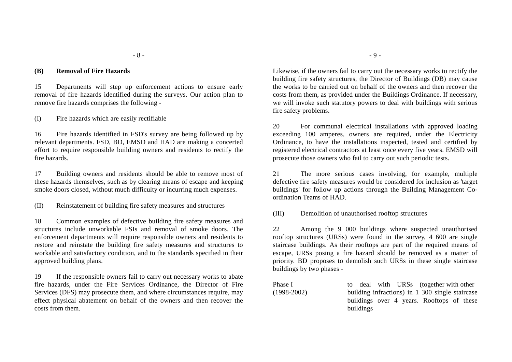#### **(B) Removal of Fire Hazards**

15 Departments will step up enforcement actions to ensure early removal of fire hazards identified during the surveys. Our action plan to remove fire hazards comprises the following -

#### (I) Fire hazards which are easily rectifiable

16 Fire hazards identified in FSD's survey are being followed up by relevant departments. FSD, BD, EMSD and HAD are making a concerted effort to require responsible building owners and residents to rectify the fire hazards.

17 Building owners and residents should be able to remove most of these hazards themselves, such as by clearing means of escape and keeping smoke doors closed, without much difficulty or incurring much expenses.

#### (II) Reinstatement of building fire safety measures and structures

18 Common examples of defective building fire safety measures and structures include unworkable FSIs and removal of smoke doors. Theenforcement departments will require responsible owners and residents to restore and reinstate the building fire safety measures and structures to workable and satisfactory condition, and to the standards specified in their approved building plans.

19 If the responsible owners fail to carry out necessary works to abate fire hazards, under the Fire Services Ordinance, the Director of Fire Services (DFS) may prosecute them, and where circumstances require, may effect physical abatement on behalf of the owners and then recover the costs from them.

Likewise, if the owners fail to carry out the necessary works to rectify the building fire safety structures, the Director of Buildings (DB) may cause the works to be carried out on behalf of the owners and then recover thecosts from them, as provided under the Buildings Ordinance. If necessary, we will invoke such statutory powers to deal with buildings with serious fire safety problems.

20 For communal electrical installations with approved loading exceeding 100 amperes, owners are required, under the Electricity Ordinance, to have the installations inspected, tested and certified by registered electrical contractors at least once every five years. EMSD will prosecute those owners who fail to carry out such periodic tests.

21 The more serious cases involving, for example, multiple defective fire safety measures would be considered for inclusion as 'target buildings' for follow up actions through the Building Management Coordination Teams of HAD.

#### (III) Demolition of unauthorised rooftop structures

22 Among the 9 000 buildings where suspected unauthorised rooftop structures (URSs) were found in the survey, 4 600 are single staircase buildings. As their rooftops are part of the required means of escape, URSs posing a fire hazard should be removed as a matter of priority. BD proposes to demolish such URSs in these single staircase buildings by two phases -

| Phase I         | to deal with URSs (together with other          |
|-----------------|-------------------------------------------------|
| $(1998 - 2002)$ | building infractions) in 1 300 single staircase |
|                 | buildings over 4 years. Rooftops of these       |
|                 | buildings                                       |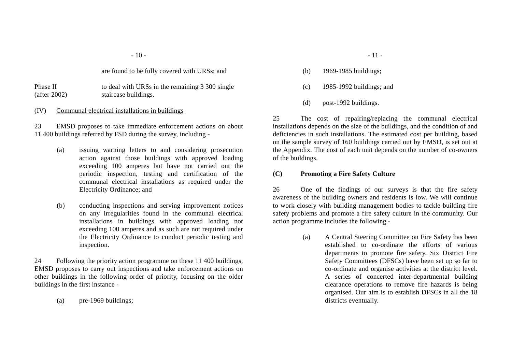are found to be fully covered with URSs; and

Phase II to deal with URSs in the remaining 3 300 single (after 2002) staircase buildings.

#### (IV) Communal electrical installations in buildings

23 EMSD proposes to take immediate enforcement actions on about 11 400 buildings referred by FSD during the survey, including -

- (a) issuing warning letters to and considering prosecution action against those buildings with approved loading exceeding 100 amperes but have not carried out the periodic inspection, testing and certification of the communal electrical installations as required under the Electricity Ordinance; and
- (b) conducting inspections and serving improvement notices on any irregularities found in the communal electrical installations in buildings with approved loading not exceeding 100 amperes and as such are not required under the Electricity Ordinance to conduct periodic testing and inspection.

24 Following the priority action programme on these 11 400 buildings, EMSD proposes to carry out inspections and take enforcement actions on other buildings in the following order of priority, focusing on the older buildings in the first instance -

(a) pre-1969 buildings;

- (b) 1969-1985 buildings;
- (c) 1985-1992 buildings; and
- (d) post-1992 buildings.

25 The cost of repairing/replacing the communal electrical installations depends on the size of the buildings, and the condition of and deficiencies in such installations. The estimated cost per building, based on the sample survey of 160 buildings carried out by EMSD, is set out at the Appendix. The cost of each unit depends on the number of co-owners of the buildings.

#### **(C) Promoting a Fire Safety Culture**

26 One of the findings of our surveys is that the fire safety awareness of the building owners and residents is low. We will continue to work closely with building management bodies to tackle building fire safety problems and promote a fire safety culture in the community. Our action programme includes the following -

> (a) A Central Steering Committee on Fire Safety has been established to co-ordinate the efforts of variousdepartments to promote fire safety. Six District Fire Safety Committees (DFSCs) have been set up so far to co-ordinate and organise activities at the district level. A series of concerted inter-departmental building clearance operations to remove fire hazards is being organised. Our aim is to establish DFSCs in all the 18 districts eventually.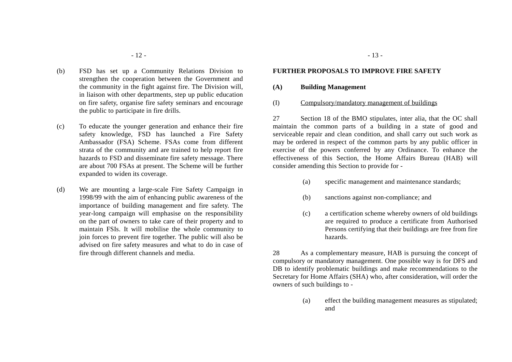- (b) FSD has set up a Community Relations Division to strengthen the cooperation between the Government and the community in the fight against fire. The Division will, in liaison with other departments, step up public education on fire safety, organise fire safety seminars and encourage the public to participate in fire drills.
- (c) To educate the younger generation and enhance their fire safety knowledge, FSD has launched a Fire Safety Ambassador (FSA) Scheme. FSAs come from different strata of the community and are trained to help report fire hazards to FSD and disseminate fire safety message. There are about 700 FSAs at present. The Scheme will be further expanded to widen its coverage.
- (d) We are mounting a large-scale Fire Safety Campaign in 1998/99 with the aim of enhancing public awareness of the importance of building management and fire safety. The year-long campaign will emphasise on the responsibility on the part of owners to take care of their property and to maintain FSIs. It will mobilise the whole community to join forces to prevent fire together. The public will also be advised on fire safety measures and what to do in case of fire through different channels and media.

#### **FURTHER PROPOSALS TO IMPROVE FIRE SAFETY**

#### **(A) Building Management**

(I) Compulsory/mandatory management of buildings

27 Section 18 of the BMO stipulates, inter alia, that the OC shall maintain the common parts of a building in a state of good and serviceable repair and clean condition, and shall carry out such work as may be ordered in respect of the common parts by any public officer in exercise of the powers conferred by any Ordinance. To enhance the effectiveness of this Section, the Home Affairs Bureau (HAB) will consider amending this Section to provide for -

- (a) specific management and maintenance standards;
- (b) sanctions against non-compliance; and
- (c) a certification scheme whereby owners of old buildings are required to produce a certificate from Authorised Persons certifying that their buildings are free from fire hazards.

28 As a complementary measure, HAB is pursuing the concept of compulsory or mandatory management. One possible way is for DFS and DB to identify problematic buildings and make recommendations to the Secretary for Home Affairs (SHA) who, after consideration, will order the owners of such buildings to -

> (a) effect the building management measures as stipulated; and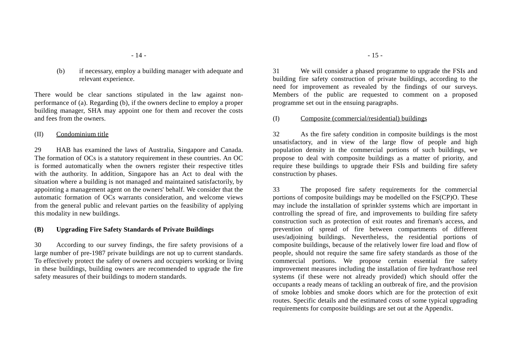(b) if necessary, employ a building manager with adequate and relevant experience.

There would be clear sanctions stipulated in the law against nonperformance of (a). Regarding (b), if the owners decline to employ a proper building manager, SHA may appoint one for them and recover the costs and fees from the owners.

(II) Condominium title

29 HAB has examined the laws of Australia, Singapore and Canada. The formation of OCs is a statutory requirement in these countries. An OC is formed automatically when the owners register their respective titles with the authority. In addition, Singapore has an Act to deal with the situation where a building is not managed and maintained satisfactorily, by appointing a management agent on the owners' behalf. We consider that the automatic formation of OCs warrants consideration, and welcome views from the general public and relevant parties on the feasibility of applying this modality in new buildings.

#### **(B) Upgrading Fire Safety Standards of Private Buildings**

30 According to our survey findings, the fire safety provisions of a large number of pre-1987 private buildings are not up to current standards. To effectively protect the safety of owners and occupiers working or living in these buildings, building owners are recommended to upgrade the fire safety measures of their buildings to modern standards.

31 We will consider a phased programme to upgrade the FSIs and building fire safety construction of private buildings, according to the need for improvement as revealed by the findings of our surveys. Members of the public are requested to comment on a proposed programme set out in the ensuing paragraphs.

(I) Composite (commercial/residential) buildings

32 As the fire safety condition in composite buildings is the most unsatisfactory, and in view of the large flow of people and high population density in the commercial portions of such buildings, we propose to deal with composite buildings as a matter of priority, and require these buildings to upgrade their FSIs and building fire safety construction by phases.

33 The proposed fire safety requirements for the commercial portions of composite buildings may be modelled on the FS(CP)O. These may include the installation of sprinkler systems which are important in controlling the spread of fire, and improvements to building fire safety construction such as protection of exit routes and fireman's access, and prevention of spread of fire between compartments of different uses/adjoining buildings. Nevertheless, the residential portions of composite buildings, because of the relatively lower fire load and flow of people, should not require the same fire safety standards as those of the commercial portions. We propose certain essential fire safety improvement measures including the installation of fire hydrant/hose reel systems (if these were not already provided) which should offer the occupants a ready means of tackling an outbreak of fire, and the provision of smoke lobbies and smoke doors which are for the protection of exit routes. Specific details and the estimated costs of some typical upgrading requirements for composite buildings are set out at the Appendix.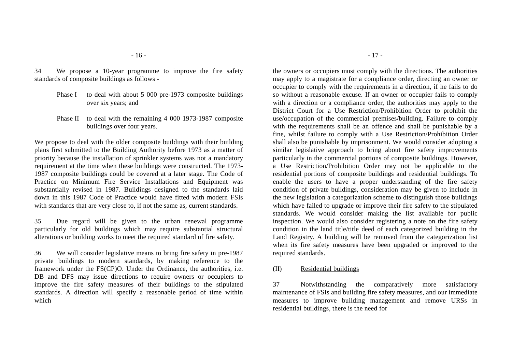34 We propose a 10-year programme to improve the fire safety standards of composite buildings as follows -

- Phase I to deal with about 5 000 pre-1973 composite buildings over six years; and
- Phase II to deal with the remaining 4 000 1973-1987 composite buildings over four years.

We propose to deal with the older composite buildings with their building plans first submitted to the Building Authority before 1973 as a matter of priority because the installation of sprinkler systems was not a mandatory requirement at the time when these buildings were constructed. The 1973- 1987 composite buildings could be covered at a later stage. The Code of Practice on Minimum Fire Service Installations and Equipment was substantially revised in 1987. Buildings designed to the standards laid down in this 1987 Code of Practice would have fitted with modern FSIs with standards that are very close to, if not the same as, current standards.

35 Due regard will be given to the urban renewal programme particularly for old buildings which may require substantial structural alterations or building works to meet the required standard of fire safety.

36 We will consider legislative means to bring fire safety in pre-1987 private buildings to modern standards, by making reference to the framework under the FS(CP)O. Under the Ordinance, the authorities, i.e. DB and DFS may issue directions to require owners or occupiers to improve the fire safety measures of their buildings to the stipulated standards. A direction will specify a reasonable period of time within which

the owners or occupiers must comply with the directions. The authorities may apply to a magistrate for a compliance order, directing an owner or occupier to comply with the requirements in a direction, if he fails to do so without a reasonable excuse. If an owner or occupier fails to comply with a direction or a compliance order, the authorities may apply to the District Court for a Use Restriction/Prohibition Order to prohibit the use/occupation of the commercial premises/building. Failure to comply with the requirements shall be an offence and shall be punishable by a fine, whilst failure to comply with a Use Restriction/Prohibition Order shall also be punishable by imprisonment. We would consider adopting a similar legislative approach to bring about fire safety improvements particularly in the commercial portions of composite buildings. However, a Use Restriction/Prohibition Order may not be applicable to the residential portions of composite buildings and residential buildings. To enable the users to have a proper understanding of the fire safety condition of private buildings, consideration may be given to include in the new legislation a categorization scheme to distinguish those buildings which have failed to upgrade or improve their fire safety to the stipulated standards. We would consider making the list available for public inspection. We would also consider registering a note on the fire safety condition in the land title/title deed of each categorized building in the Land Registry. A building will be removed from the categorization list when its fire safety measures have been upgraded or improved to the required standards.

#### (II) Residential buildings

37 Notwithstanding the comparatively more satisfactory maintenance of FSIs and building fire safety measures, and our immediate measures to improve building management and remove URSs in residential buildings, there is the need for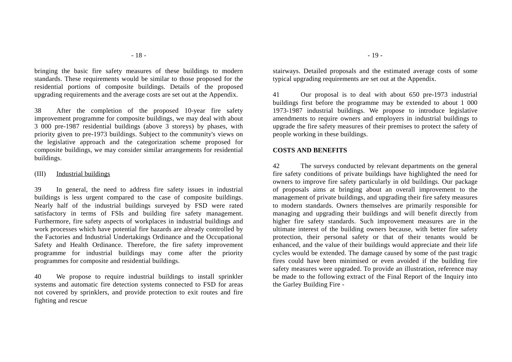bringing the basic fire safety measures of these buildings to modern standards. These requirements would be similar to those proposed for the residential portions of composite buildings. Details of the proposed upgrading requirements and the average costs are set out at the Appendix.

38 After the completion of the proposed 10-year fire safety improvement programme for composite buildings, we may deal with about 3 000 pre-1987 residential buildings (above 3 storeys) by phases, with priority given to pre-1973 buildings. Subject to the community's views on the legislative approach and the categorization scheme proposed for composite buildings, we may consider similar arrangements for residential buildings.

#### (III) Industrial buildings

39 In general, the need to address fire safety issues in industrial buildings is less urgent compared to the case of composite buildings. Nearly half of the industrial buildings surveyed by FSD were rated satisfactory in terms of FSIs and building fire safety management. Furthermore, fire safety aspects of workplaces in industrial buildings and work processes which have potential fire hazards are already controlled by the Factories and Industrial Undertakings Ordinance and the Occupational Safety and Health Ordinance. Therefore, the fire safety improvement programme for industrial buildings may come after the priority programmes for composite and residential buildings.

40 We propose to require industrial buildings to install sprinkler systems and automatic fire detection systems connected to FSD for areas not covered by sprinklers, and provide protection to exit routes and fire fighting and rescue

stairways. Detailed proposals and the estimated average costs of some typical upgrading requirements are set out at the Appendix.

41 Our proposal is to deal with about 650 pre-1973 industrial buildings first before the programme may be extended to about 1 000 1973-1987 industrial buildings. We propose to introduce legislative amendments to require owners and employers in industrial buildings to upgrade the fire safety measures of their premises to protect the safety of people working in these buildings.

#### **COSTS AND BENEFITS**

42 The surveys conducted by relevant departments on the general fire safety conditions of private buildings have highlighted the need for owners to improve fire safety particularly in old buildings. Our package of proposals aims at bringing about an overall improvement to the management of private buildings, and upgrading their fire safety measures to modern standards. Owners themselves are primarily responsible for managing and upgrading their buildings and will benefit directly from higher fire safety standards. Such improvement measures are in the ultimate interest of the building owners because, with better fire safety protection, their personal safety or that of their tenants would be enhanced, and the value of their buildings would appreciate and their life cycles would be extended. The damage caused by some of the past tragic fires could have been minimised or even avoided if the building fire safety measures were upgraded. To provide an illustration, reference may be made to the following extract of the Final Report of the Inquiry into the Garley Building Fire -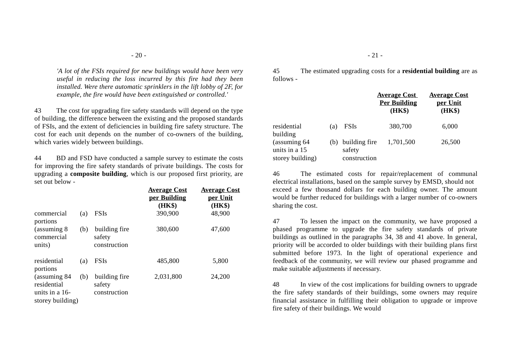*'A lot of the FSIs required for new buildings would have been very useful in reducing the loss incurred by this fire had they been installed. Were there automatic sprinklers in the lift lobby of 2F, for example, the fire would have been extinguished or controlled.'*

43 The cost for upgrading fire safety standards will depend on the type of building, the difference between the existing and the proposed standards of FSIs, and the extent of deficiencies in building fire safety structure. The cost for each unit depends on the number of co-owners of the building, which varies widely between buildings.

44 BD and FSD have conducted a sample survey to estimate the costs for improving the fire safety standards of private buildings. The costs for upgrading a **composite building**, which is our proposed first priority, are set out below -

|                                                                      |     |                                         | <u>Average Cost</u><br>per Building<br>(HK\$) | <u>Average Cost</u><br>per Unit<br>(HK\$) |
|----------------------------------------------------------------------|-----|-----------------------------------------|-----------------------------------------------|-------------------------------------------|
| commercial                                                           | (a) | <b>FSIs</b>                             | 390,900                                       | 48,900                                    |
| portions                                                             |     |                                         |                                               |                                           |
| (assuming 8)<br>commercial<br>units)                                 | (b) | building fire<br>safety<br>construction | 380,600                                       | 47,600                                    |
| residential<br>portions                                              | (a) | <b>FSIs</b>                             | 485,800                                       | 5,800                                     |
| (assuming 84)<br>residential<br>units in a $16-$<br>storey building) | (b) | building fire<br>safety<br>construction | 2,031,800                                     | 24,200                                    |
|                                                                      |     |                                         |                                               |                                           |

45 The estimated upgrading costs for a **residential building** are as follows -

|                                                    |     |                                             | <b>Average Cost</b><br><b>Per Building</b><br>(HK\$) | <b>Average Cost</b><br>per Unit<br>(HK\$) |
|----------------------------------------------------|-----|---------------------------------------------|------------------------------------------------------|-------------------------------------------|
| residential<br>building                            | (a) | <b>FSIs</b>                                 | 380,700                                              | 6,000                                     |
| (assuming 64)<br>units in a 15<br>storey building) |     | (b) building fire<br>safety<br>construction | 1,701,500                                            | 26,500                                    |

46 The estimated costs for repair/replacement of communal electrical installations, based on the sample survey by EMSD, should not exceed a few thousand dollars for each building owner. The amount would be further reduced for buildings with a larger number of co-owners sharing the cost.

47 To lessen the impact on the community, we have proposed a phased programme to upgrade the fire safety standards of private buildings as outlined in the paragraphs 34, 38 and 41 above. In general, priority will be accorded to older buildings with their building plans first submitted before 1973. In the light of operational experience and feedback of the community, we will review our phased programme and make suitable adjustments if necessary.

48 In view of the cost implications for building owners to upgrade the fire safety standards of their buildings, some owners may require financial assistance in fulfilling their obligation to upgrade or improve fire safety of their buildings. We would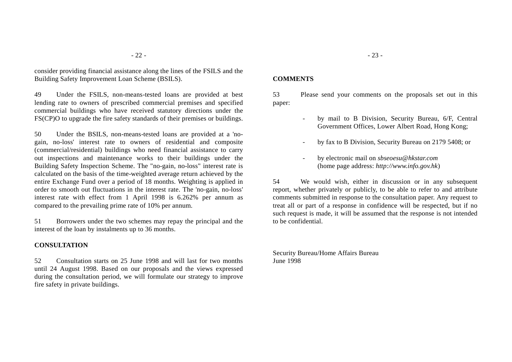consider providing financial assistance along the lines of the FSILS and the Building Safety Improvement Loan Scheme (BSILS).

49 Under the FSILS, non-means-tested loans are provided at best lending rate to owners of prescribed commercial premises and specified commercial buildings who have received statutory directions under the FS(CP)O to upgrade the fire safety standards of their premises or buildings.

50 Under the BSILS, non-means-tested loans are provided at a 'nogain, no-loss' interest rate to owners of residential and composite (commercial/residential) buildings who need financial assistance to carry out inspections and maintenance works to their buildings under the Building Safety Inspection Scheme. The "no-gain, no-loss" interest rate is calculated on the basis of the time-weighted average return achieved by the entire Exchange Fund over a period of 18 months. Weighting is applied in order to smooth out fluctuations in the interest rate. The 'no-gain, no-loss' interest rate with effect from 1 April 1998 is 6.262% per annum as compared to the prevailing prime rate of 10% per annum.

51 Borrowers under the two schemes may repay the principal and the interest of the loan by instalments up to 36 months.

#### **CONSULTATION**

52 Consultation starts on 25 June 1998 and will last for two monthsuntil 24 August 1998. Based on our proposals and the views expressed during the consultation period, we will formulate our strategy to improve fire safety in private buildings.

### **COMMENTS**

53 Please send your comments on the proposals set out in this paper:

- by mail to B Division, Security Bureau, 6/F, Central Government Offices, Lower Albert Road, Hong Kong;
- by fax to B Division, Security Bureau on 2179 5408; or
- by electronic mail on *sbseoesu@hkstar.com* (home page address: *http://www.info.gov.hk*)

54 We would wish, either in discussion or in any subsequent report, whether privately or publicly, to be able to refer to and attribute comments submitted in response to the consultation paper. Any request to treat all or part of a response in confidence will be respected, but if no such request is made, it will be assumed that the response is not intended to be confidential.

Security Bureau/Home Affairs Bureau June 1998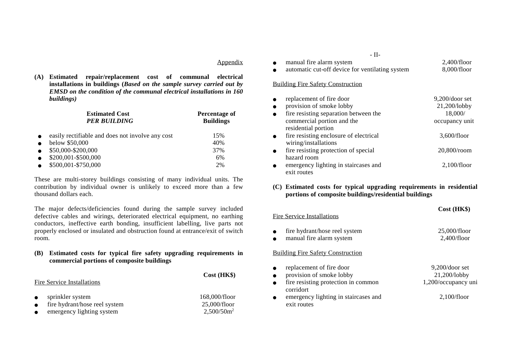#### Appendix

**Cost (HK\$)**

**(A) Estimated repair/replacement cost of communal electrical installations in buildings (***Based on the sample survey carried out by EMSD on the condition of the communal electrical installations in 160 buildings)*

|           | <b>Estimated Cost</b><br><b>PER BUILDING</b>     | Percentage of<br><b>Buildings</b> |  |
|-----------|--------------------------------------------------|-----------------------------------|--|
| $\bullet$ | easily rectifiable and does not involve any cost | 15%                               |  |
| $\bullet$ | below \$50,000                                   | 40%                               |  |
| $\bullet$ | \$50,000-\$200,000                               | 37%                               |  |
| $\bullet$ | \$200,001-\$500,000                              | 6%                                |  |
| $\bullet$ | \$500,001-\$750,000                              | 2%                                |  |

These are multi-storey buildings consisting of many individual units. The contribution by individual owner is unlikely to exceed more than a few thousand dollars each.

The major defects/deficiencies found during the sample survey included defective cables and wirings, deteriorated electrical equipment, no earthing conductors, ineffective earth bonding, insufficient labelling, live parts not properly enclosed or insulated and obstruction found at entrance/exit of switch room.

#### **(B) Estimated costs for typical fire safety upgrading requirements in commercial portions of composite buildings**

#### Fire Service Installations

●

●

●

●

- ●sprinkler system 168,000/floor<br>fire hydrant/hose reel system 25.000/floor
- ●fire hydrant/hose reel system  $25,000$ /floor<br>emergency lighting system  $2.500/50m^2$
- ●emergency lighting system

| - 11-                                           |             |
|-------------------------------------------------|-------------|
| manual fire alarm system                        | 2,400/floor |
| automatic cut-off device for ventilating system | 8.000/floor |

#### Building Fire Safety Construction

| replacement of fire door               | $9,200$ /door set |
|----------------------------------------|-------------------|
| provision of smoke lobby               | 21,200/lobby      |
| fire resisting separation between the  | 18,000/           |
| commercial portion and the             | occupancy unit    |
| residential portion                    |                   |
| fire resisting enclosure of electrical | 3,600/floor       |
| wiring/installations                   |                   |
| fire resisting protection of special   | $20,800$ /room    |
| hazard room                            |                   |
| emergency lighting in staircases and   | 2,100/floor       |
| exit routes                            |                   |

### **(C) Estimated costs for typical upgrading requirements in residential portions of composite buildings/residential buildings**

**Cost (HK\$)**

#### Fire Service Installations

| fire hydrant/hose reel system | 25,000/floor |
|-------------------------------|--------------|
| manual fire alarm system      | 2,400/floor  |

### Building Fire Safety Construction

| $\bullet$ | replacement of fire door             | $9,200$ /door set   |
|-----------|--------------------------------------|---------------------|
| $\bullet$ | provision of smoke lobby             | $21,200$ /lobby     |
| $\bullet$ | fire resisting protection in common  | 1,200/occupancy uni |
|           | corridort                            |                     |
| $\bullet$ | emergency lighting in staircases and | 2,100/floor         |
|           | exit routes                          |                     |

 $\mathbf{r}$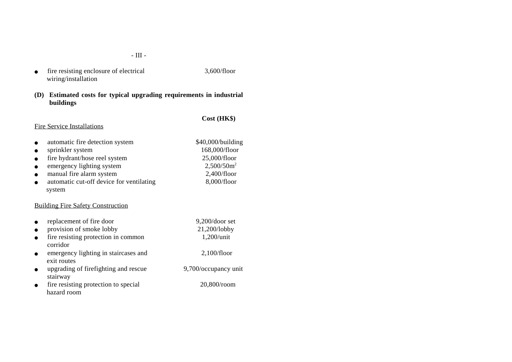- $\bullet$  fire resisting enclosure of electrical 3,600/floor wiring/installation
- **(D) Estimated costs for typical upgrading requirements in industrial buildings**

## **Cost (HK\$)**

#### Fire Service Installations

- ●automatic fire detection system \$40,000/building
- ●sprinkler system 168,000/floor
- $\bullet$ fire hydrant/hose reel system 25,000/floor
- $\bullet$ emergency lighting system 2,500/50m<sup>2</sup><br>manual fire alarm system 2.400/floor
- ●manual fire alarm system
- $\bullet$ automatic cut-off device for ventilating 8,000/floor system

### Building Fire Safety Construction

| replacement of fire door | $9,200$ /door set |
|--------------------------|-------------------|
|                          |                   |

- $\bullet$ provision of smoke lobby 21,200/lobby
- $\bullet$ fire resisting protection in common 1,200/unit corridor
- $\bullet$ emergency lighting in staircases and 2,100/floor exit routes
- $\bullet$  upgrading of firefighting and rescue 9,700/occupancy unit stairway
- $\bullet$  fire resisting protection to special 20,800/room hazard room
- -
- -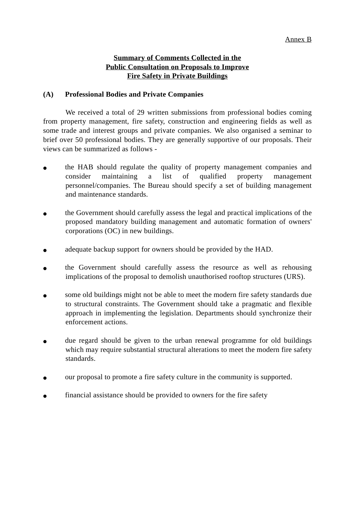## **Summary of Comments Collected in the Public Consultation on Proposals to Improve Fire Safety in Private Buildings**

## **(A) Professional Bodies and Private Companies**

We received a total of 29 written submissions from professional bodies coming from property management, fire safety, construction and engineering fields as well as some trade and interest groups and private companies. We also organised a seminar to brief over 50 professional bodies. They are generally supportive of our proposals. Their views can be summarized as follows -

- the HAB should regulate the quality of property management companies and consider maintaining a list of qualified property management personnel/companies. The Bureau should specify a set of building management and maintenance standards.
- the Government should carefully assess the legal and practical implications of the proposed mandatory building management and automatic formation of owners' corporations (OC) in new buildings.
- adequate backup support for owners should be provided by the HAD.
- the Government should carefully assess the resource as well as rehousing implications of the proposal to demolish unauthorised rooftop structures (URS).
- some old buildings might not be able to meet the modern fire safety standards due to structural constraints. The Government should take a pragmatic and flexible approach in implementing the legislation. Departments should synchronize their enforcement actions.
- due regard should be given to the urban renewal programme for old buildings which may require substantial structural alterations to meet the modern fire safety standards.
- our proposal to promote a fire safety culture in the community is supported.
- financial assistance should be provided to owners for the fire safety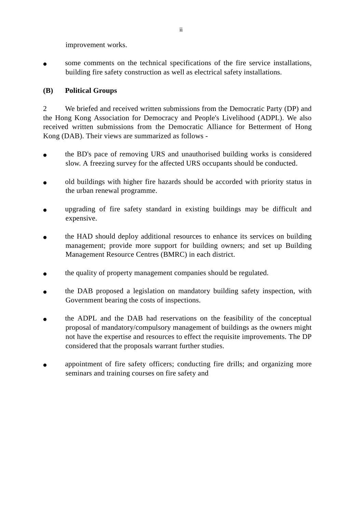improvement works.

• some comments on the technical specifications of the fire service installations, building fire safety construction as well as electrical safety installations.

## **(B) Political Groups**

2 We briefed and received written submissions from the Democratic Party (DP) and the Hong Kong Association for Democracy and People's Livelihood (ADPL). We also received written submissions from the Democratic Alliance for Betterment of Hong Kong (DAB). Their views are summarized as follows -

- the BD's pace of removing URS and unauthorised building works is considered slow. A freezing survey for the affected URS occupants should be conducted.
- old buildings with higher fire hazards should be accorded with priority status in the urban renewal programme.
- upgrading of fire safety standard in existing buildings may be difficult and expensive.
- the HAD should deploy additional resources to enhance its services on building management; provide more support for building owners; and set up Building Management Resource Centres (BMRC) in each district.
- the quality of property management companies should be regulated.
- the DAB proposed a legislation on mandatory building safety inspection, with Government bearing the costs of inspections.
- the ADPL and the DAB had reservations on the feasibility of the conceptual proposal of mandatory/compulsory management of buildings as the owners might not have the expertise and resources to effect the requisite improvements. The DP considered that the proposals warrant further studies.
- appointment of fire safety officers; conducting fire drills; and organizing more seminars and training courses on fire safety and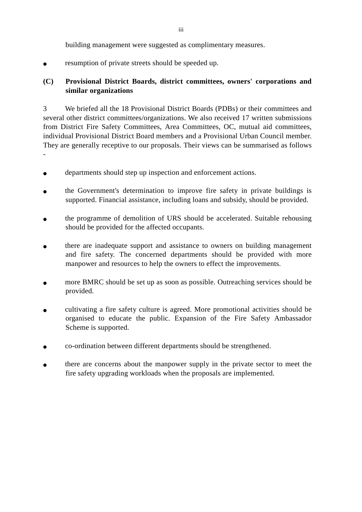building management were suggested as complimentary measures.

resumption of private streets should be speeded up.

# **(C) Provisional District Boards, district committees, owners' corporations and similar organizations**

3 We briefed all the 18 Provisional District Boards (PDBs) or their committees and several other district committees/organizations. We also received 17 written submissions from District Fire Safety Committees, Area Committees, OC, mutual aid committees, individual Provisional District Board members and a Provisional Urban Council member. They are generally receptive to our proposals. Their views can be summarised as follows -

- departments should step up inspection and enforcement actions.
- the Government's determination to improve fire safety in private buildings is supported. Financial assistance, including loans and subsidy, should be provided.
- the programme of demolition of URS should be accelerated. Suitable rehousing should be provided for the affected occupants.
- there are inadequate support and assistance to owners on building management and fire safety. The concerned departments should be provided with more manpower and resources to help the owners to effect the improvements.
- more BMRC should be set up as soon as possible. Outreaching services should be provided.
- cultivating a fire safety culture is agreed. More promotional activities should be organised to educate the public. Expansion of the Fire Safety Ambassador Scheme is supported.
- co-ordination between different departments should be strengthened.
- there are concerns about the manpower supply in the private sector to meet the fire safety upgrading workloads when the proposals are implemented.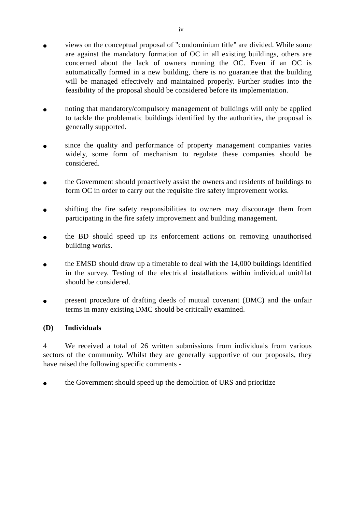- views on the conceptual proposal of "condominium title" are divided. While some are against the mandatory formation of OC in all existing buildings, others are concerned about the lack of owners running the OC. Even if an OC is automatically formed in a new building, there is no guarantee that the building will be managed effectively and maintained properly. Further studies into the feasibility of the proposal should be considered before its implementation.
- noting that mandatory/compulsory management of buildings will only be applied to tackle the problematic buildings identified by the authorities, the proposal is generally supported.
- since the quality and performance of property management companies varies widely, some form of mechanism to regulate these companies should be considered.
- the Government should proactively assist the owners and residents of buildings to form OC in order to carry out the requisite fire safety improvement works.
- shifting the fire safety responsibilities to owners may discourage them from participating in the fire safety improvement and building management.
- the BD should speed up its enforcement actions on removing unauthorised building works.
- the EMSD should draw up a timetable to deal with the 14,000 buildings identified in the survey. Testing of the electrical installations within individual unit/flat should be considered.
- present procedure of drafting deeds of mutual covenant (DMC) and the unfair terms in many existing DMC should be critically examined.

## **(D) Individuals**

4 We received a total of 26 written submissions from individuals from various sectors of the community. Whilst they are generally supportive of our proposals, they have raised the following specific comments -

• the Government should speed up the demolition of URS and prioritize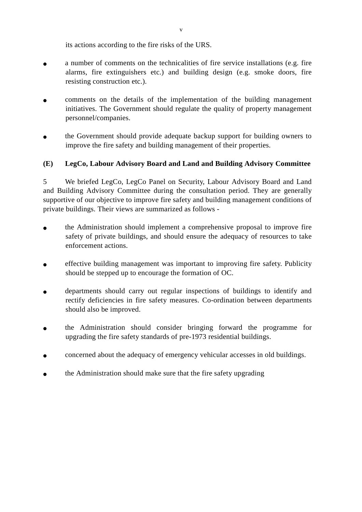its actions according to the fire risks of the URS.

- a number of comments on the technicalities of fire service installations (e.g. fire alarms, fire extinguishers etc.) and building design (e.g. smoke doors, fire resisting construction etc.).
- comments on the details of the implementation of the building management initiatives. The Government should regulate the quality of property management personnel/companies.
- the Government should provide adequate backup support for building owners to improve the fire safety and building management of their properties.

# **(E) LegCo, Labour Advisory Board and Land and Building Advisory Committee**

5 We briefed LegCo, LegCo Panel on Security, Labour Advisory Board and Land and Building Advisory Committee during the consultation period. They are generally supportive of our objective to improve fire safety and building management conditions of private buildings. Their views are summarized as follows -

- the Administration should implement a comprehensive proposal to improve fire safety of private buildings, and should ensure the adequacy of resources to take enforcement actions.
- effective building management was important to improving fire safety. Publicity should be stepped up to encourage the formation of OC.
- departments should carry out regular inspections of buildings to identify and rectify deficiencies in fire safety measures. Co-ordination between departments should also be improved.
- the Administration should consider bringing forward the programme for upgrading the fire safety standards of pre-1973 residential buildings.
- concerned about the adequacy of emergency vehicular accesses in old buildings.
- the Administration should make sure that the fire safety upgrading